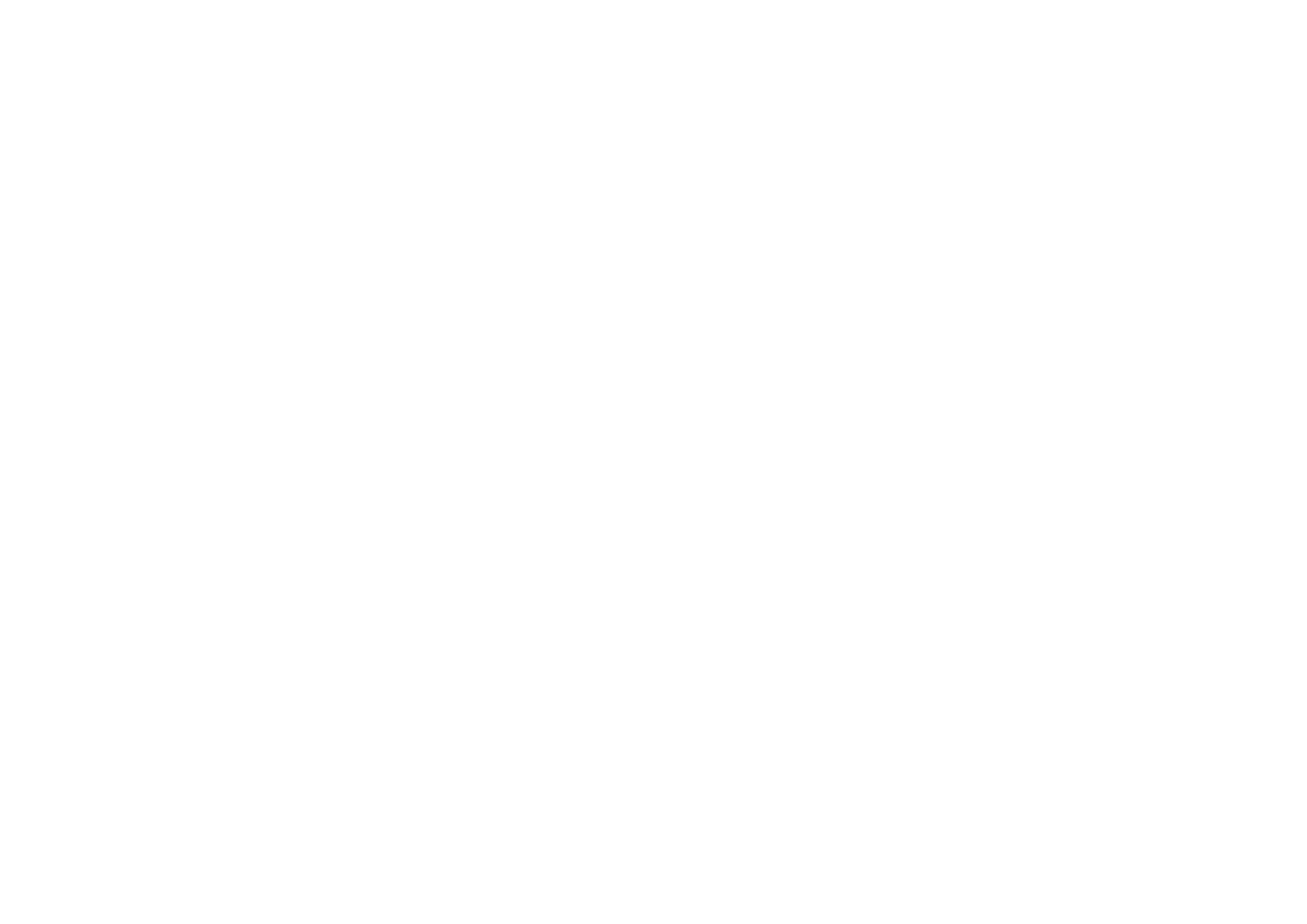

### Cam followers



### PF 810 E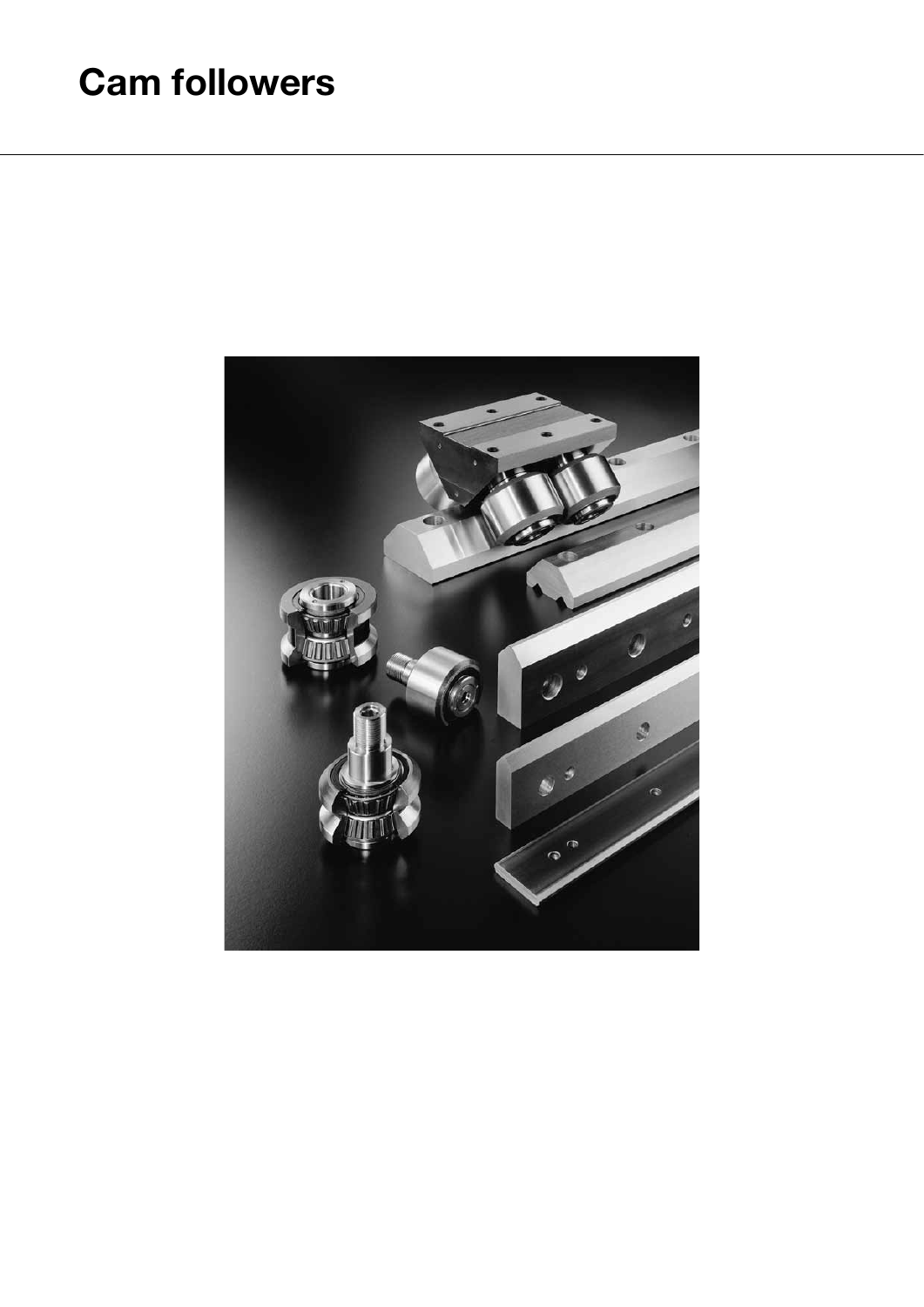### **Cam followers**

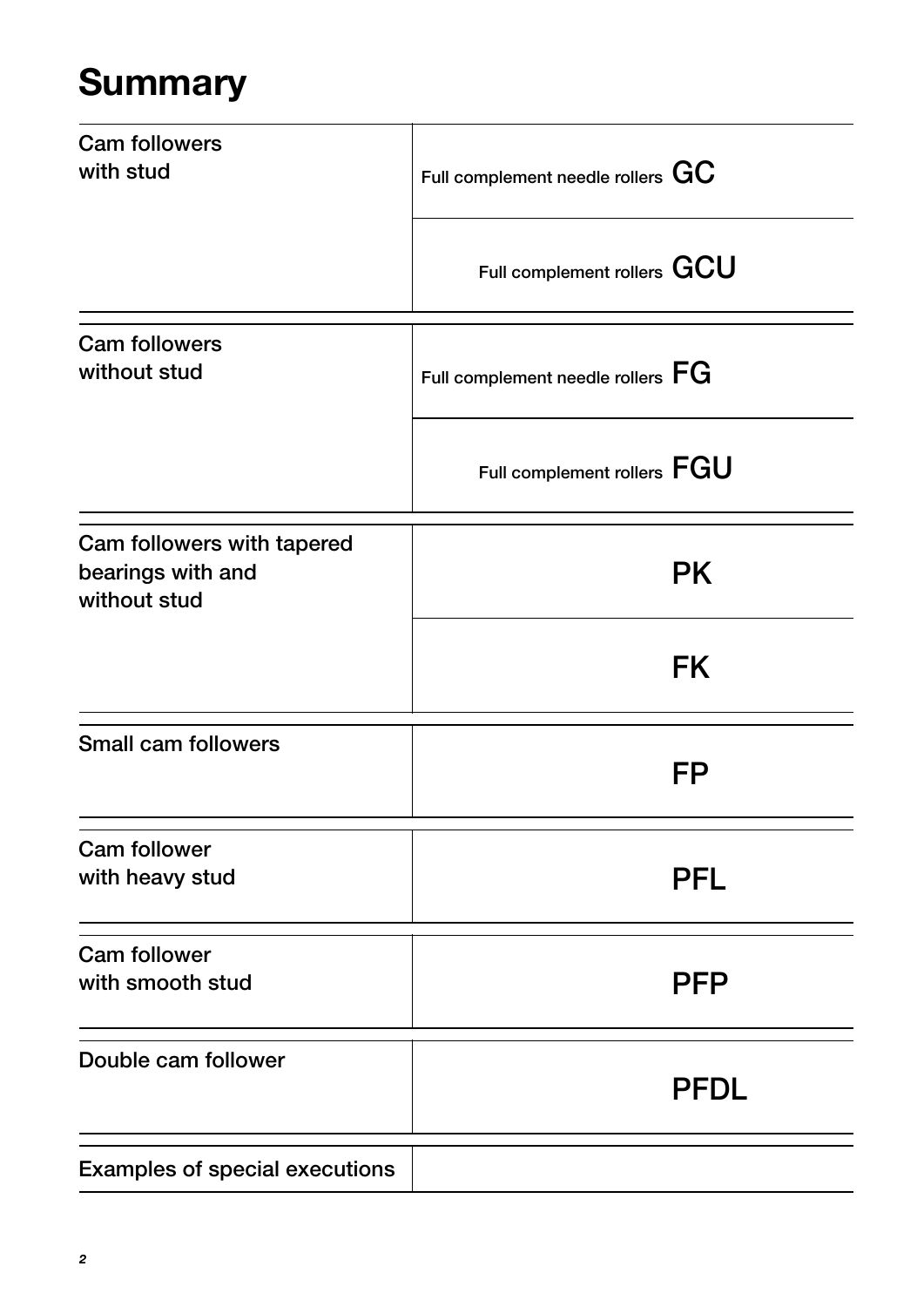# **Summary**

| <b>Cam followers</b><br>with stud                               | Full complement needle rollers $GC$          |             |
|-----------------------------------------------------------------|----------------------------------------------|-------------|
|                                                                 | Full complement rollers GCU                  |             |
| <b>Cam followers</b><br>without stud                            | Full complement needle rollers $\mathsf{FG}$ |             |
|                                                                 | Full complement rollers FGU                  |             |
| Cam followers with tapered<br>bearings with and<br>without stud |                                              | <b>PK</b>   |
|                                                                 |                                              | <b>FK</b>   |
| <b>Small cam followers</b>                                      |                                              | FP          |
| Cam follower<br>with heavy stud                                 |                                              | PFL         |
| <b>Cam follower</b><br>with smooth stud                         |                                              | <b>PFP</b>  |
| Double cam follower                                             |                                              | <b>PFDL</b> |
| <b>Examples of special executions</b>                           |                                              |             |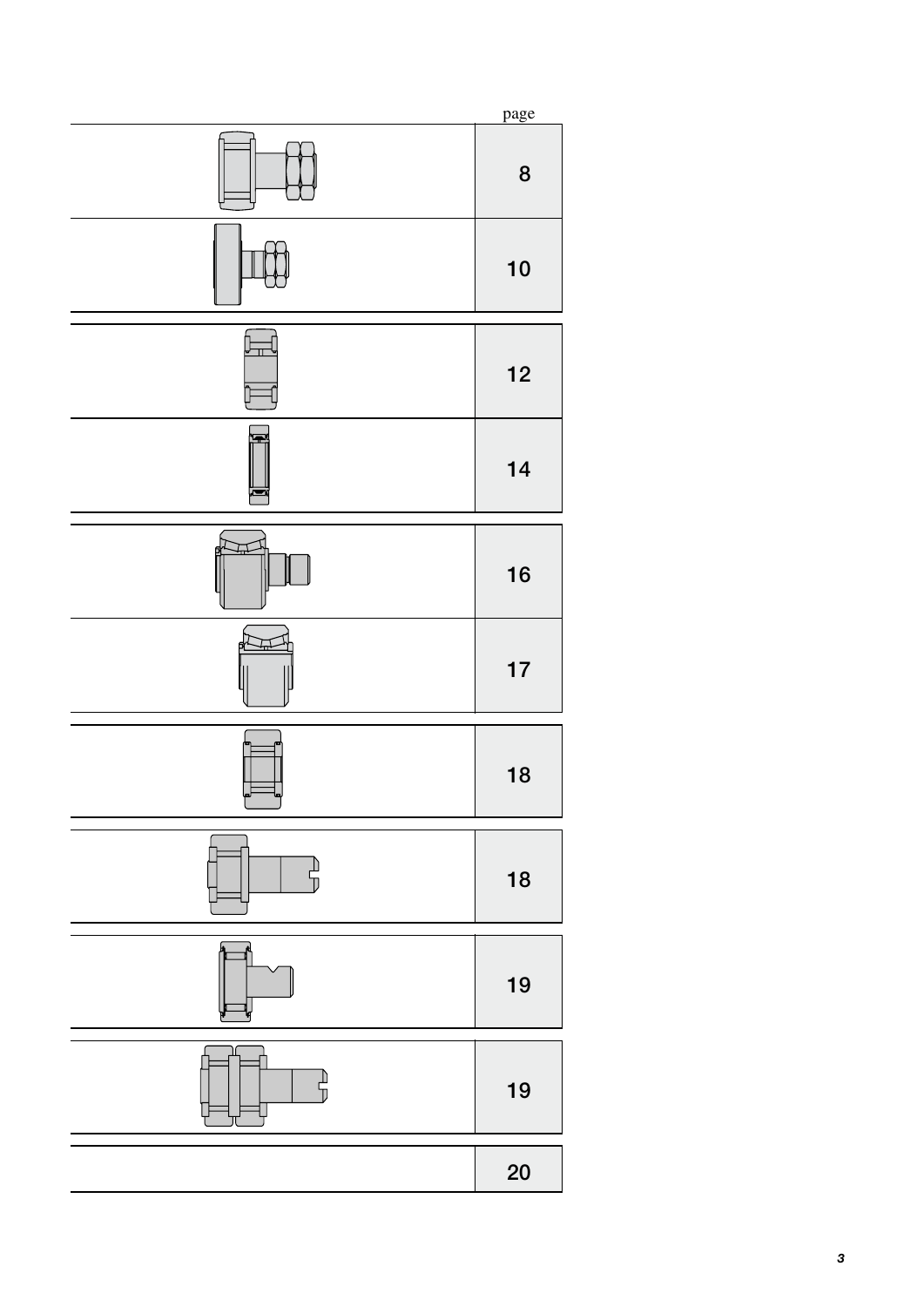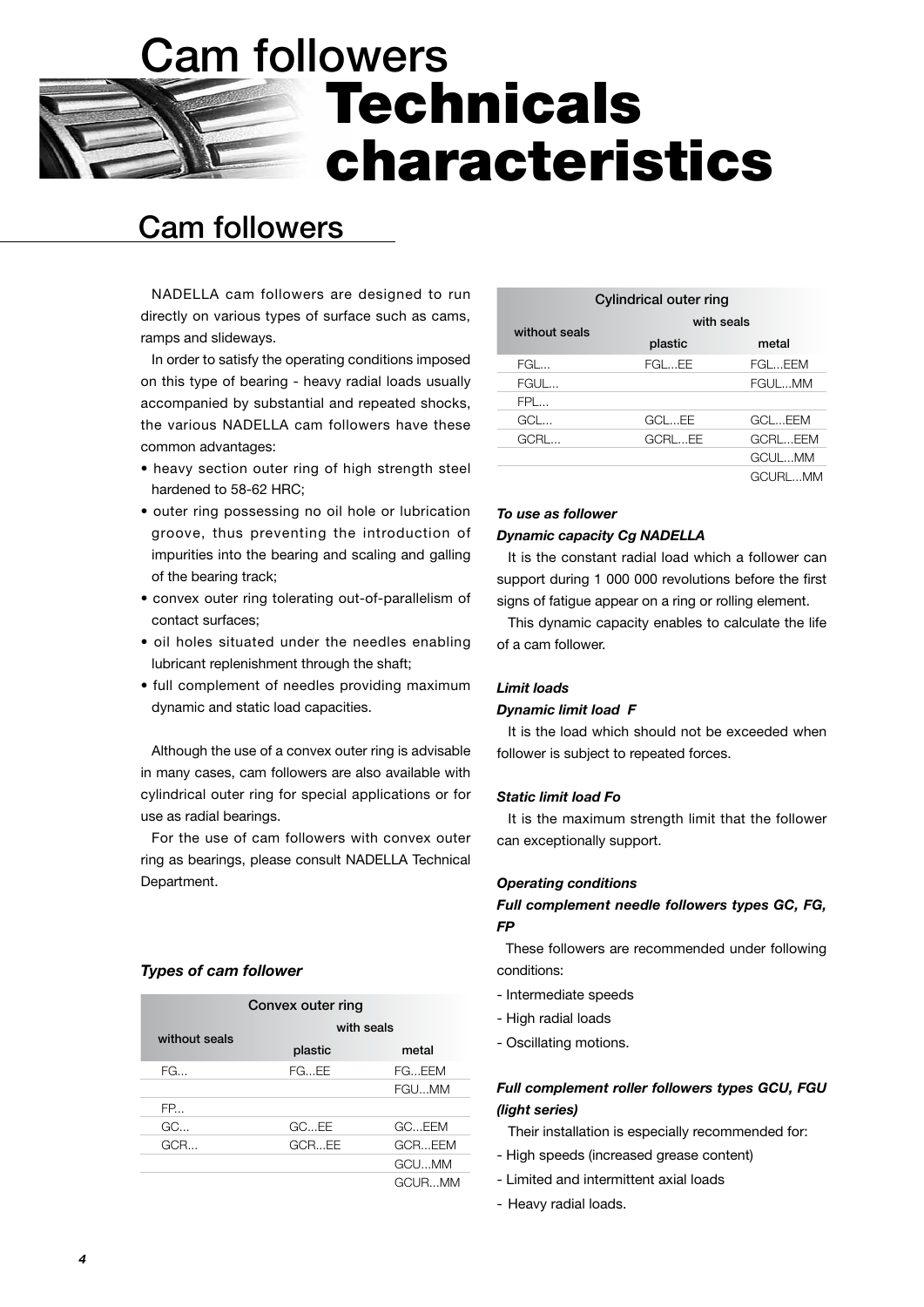# Cam followers Technicals characteristics

### Cam followers

NADELLA cam followers are designed to run directly on various types of surface such as cams, ramps and slideways.

In order to satisfy the operating conditions imposed on this type of bearing - heavy radial loads usually accompanied by substantial and repeated shocks, the various NADELLA cam followers have these common advantages:

- heavy section outer ring of high strength steel hardened to 58-62 HRC;
- outer ring possessing no oil hole or lubrication groove, thus preventing the introduction of impurities into the bearing and scaling and galling of the bearing track;
- convex outer ring tolerating out-of-parallelism of contact surfaces;
- oil holes situated under the needles enabling lubricant replenishment through the shaft;
- full complement of needles providing maximum dynamic and static load capacities.

Although the use of a convex outer ring is advisable in many cases, cam followers are also available with cylindrical outer ring for special applications or for use as radial bearings.

For the use of cam followers with convex outer ring as bearings, please consult NADELLA Technical Department.

#### *Types of cam follower*

| Convex outer ring |            |          |  |  |  |  |  |  |  |  |
|-------------------|------------|----------|--|--|--|--|--|--|--|--|
| without seals     | with seals |          |  |  |  |  |  |  |  |  |
|                   | plastic    | metal    |  |  |  |  |  |  |  |  |
| FG                | FG.FF      | FG.FFM   |  |  |  |  |  |  |  |  |
|                   |            | FGUMM    |  |  |  |  |  |  |  |  |
| FP.               |            |          |  |  |  |  |  |  |  |  |
| GC                | GCEE       | GCEEM    |  |  |  |  |  |  |  |  |
| GCR               | GCREE      | GCR. FFM |  |  |  |  |  |  |  |  |
|                   |            | GCUMM    |  |  |  |  |  |  |  |  |
|                   |            | GCURMM   |  |  |  |  |  |  |  |  |

| Cylindrical outer ring |            |         |  |  |  |  |  |  |  |  |  |
|------------------------|------------|---------|--|--|--|--|--|--|--|--|--|
| without seals          | with seals |         |  |  |  |  |  |  |  |  |  |
|                        | plastic    | metal   |  |  |  |  |  |  |  |  |  |
| FGL                    | FGLEE      | FGLEEM  |  |  |  |  |  |  |  |  |  |
| FGLL                   |            | FGULMM  |  |  |  |  |  |  |  |  |  |
| FPL                    |            |         |  |  |  |  |  |  |  |  |  |
| GCL                    | GCLEE      | GCLEEM  |  |  |  |  |  |  |  |  |  |
| GCRL                   | GCRLEE     | GCRLEEM |  |  |  |  |  |  |  |  |  |
|                        |            | GCULMM  |  |  |  |  |  |  |  |  |  |
|                        |            | GCURLMM |  |  |  |  |  |  |  |  |  |

#### *To use as follower*

#### *Dynamic capacity Cg NADELLA*

It is the constant radial load which a follower can support during 1 000 000 revolutions before the first signs of fatigue appear on a ring or rolling element.

This dynamic capacity enables to calculate the life of a cam follower.

#### *Limit loads*

#### *Dynamic limit load F*

It is the load which should not be exceeded when follower is subject to repeated forces.

#### *Static limit load Fo*

It is the maximum strength limit that the follower can exceptionally support.

#### *Operating conditions*

#### *Full complement needle followers types GC, FG, FP*

These followers are recommended under following conditions:

- Intermediate speeds
- High radial loads
- Oscillating motions.

#### *Full complement roller followers types GCU, FGU (light series)*

Their installation is especially recommended for:

- High speeds (increased grease content)
- Limited and intermittent axial loads
- Heavy radial loads.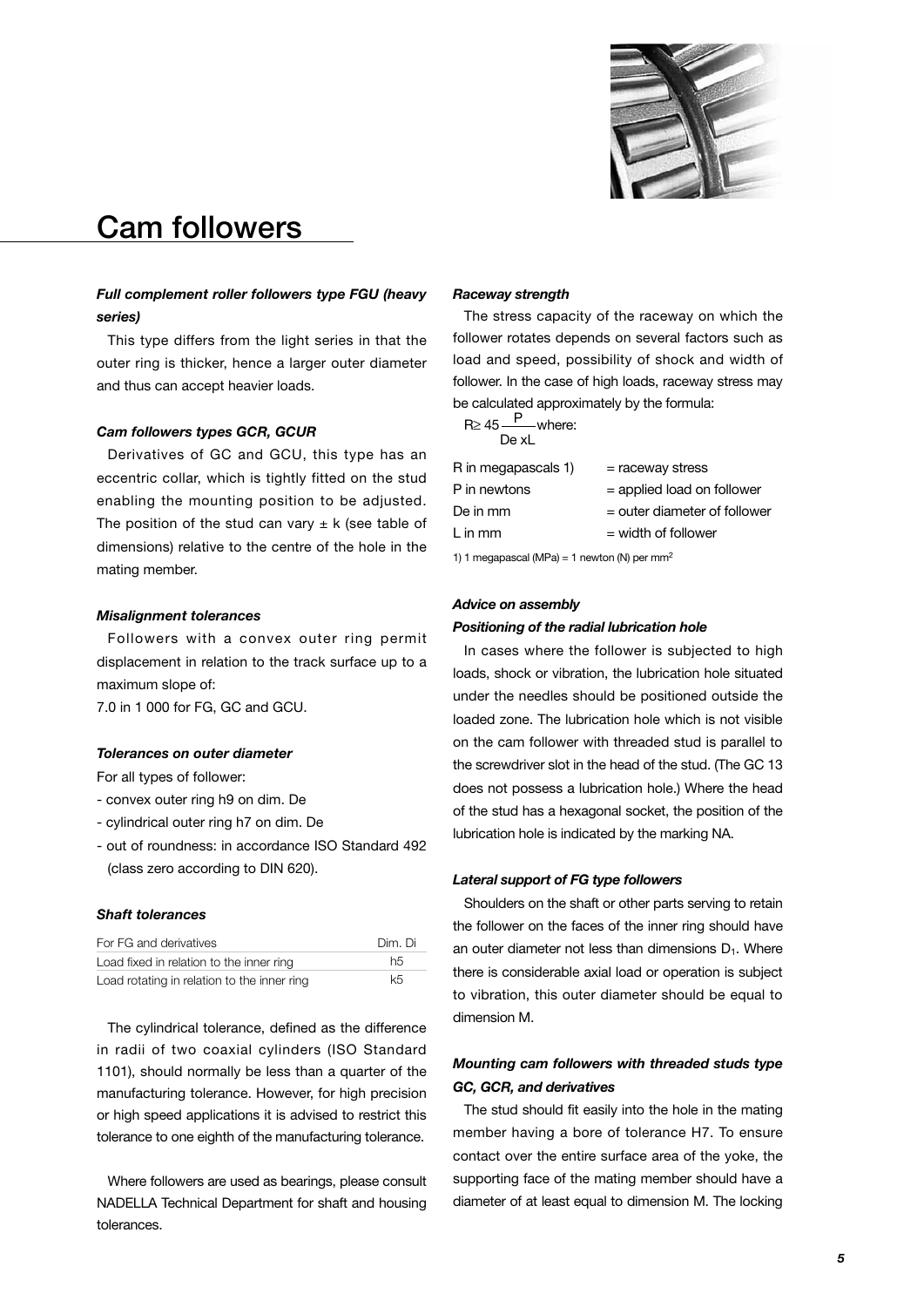

### Cam followers

#### *Full complement roller followers type FGU (heavy series)*

This type differs from the light series in that the outer ring is thicker, hence a larger outer diameter and thus can accept heavier loads.

#### *Cam followers types GCR, GCUR*

Derivatives of GC and GCU, this type has an eccentric collar, which is tightly fitted on the stud enabling the mounting position to be adjusted. The position of the stud can vary  $\pm$  k (see table of dimensions) relative to the centre of the hole in the mating member.

#### *Misalignment tolerances*

Followers with a convex outer ring permit displacement in relation to the track surface up to a maximum slope of:

7.0 in 1 000 for FG, GC and GCU.

#### *Tolerances on outer diameter*

For all types of follower:

- convex outer ring h9 on dim. De
- cylindrical outer ring h7 on dim. De
- out of roundness: in accordance ISO Standard 492 (class zero according to DIN 620).

#### *Shaft tolerances*

| For FG and derivatives                      | Dim. Di |
|---------------------------------------------|---------|
| Load fixed in relation to the inner ring    | h5      |
| Load rotating in relation to the inner ring | k5      |

The cylindrical tolerance, defined as the difference in radii of two coaxial cylinders (ISO Standard 1101), should normally be less than a quarter of the manufacturing tolerance. However, for high precision or high speed applications it is advised to restrict this tolerance to one eighth of the manufacturing tolerance.

Where followers are used as bearings, please consult NADELLA Technical Department for shaft and housing tolerances.

#### *Raceway strength*

The stress capacity of the raceway on which the follower rotates depends on several factors such as load and speed, possibility of shock and width of follower. In the case of high loads, raceway stress may be calculated approximately by the formula:

 $R>45$  P where: De xL

| $=$ raceway stress             |
|--------------------------------|
| $=$ applied load on follower   |
| $=$ outer diameter of follower |
| $=$ width of follower          |
|                                |

1) 1 megapascal (MPa) = 1 newton (N) per mm<sup>2</sup>

#### *Advice on assembly*

#### *Positioning of the radial lubrication hole*

In cases where the follower is subjected to high loads, shock or vibration, the lubrication hole situated under the needles should be positioned outside the loaded zone. The lubrication hole which is not visible on the cam follower with threaded stud is parallel to the screwdriver slot in the head of the stud. (The GC 13 does not possess a lubrication hole.) Where the head of the stud has a hexagonal socket, the position of the lubrication hole is indicated by the marking NA.

#### *Lateral support of FG type followers*

Shoulders on the shaft or other parts serving to retain the follower on the faces of the inner ring should have an outer diameter not less than dimensions  $D_1$ . Where there is considerable axial load or operation is subject to vibration, this outer diameter should be equal to dimension M.

#### *Mounting cam followers with threaded studs type GC, GCR, and derivatives*

The stud should fit easily into the hole in the mating member having a bore of tolerance H7. To ensure contact over the entire surface area of the yoke, the supporting face of the mating member should have a diameter of at least equal to dimension M. The locking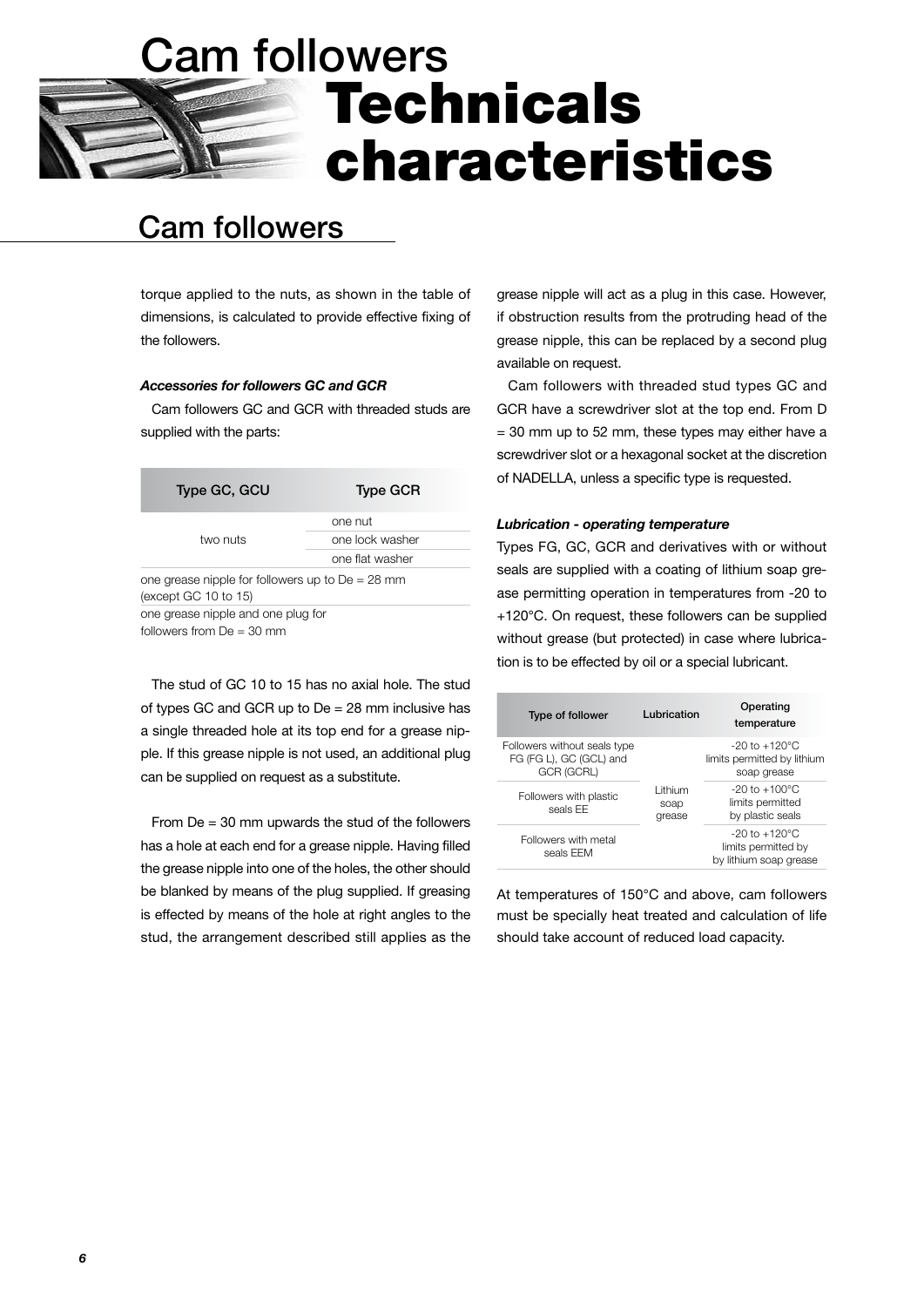# Cam followers Technicals characteristics

### Cam followers

torque applied to the nuts, as shown in the table of dimensions, is calculated to provide effective fixing of the followers.

#### *Accessories for followers GC and GCR*

Cam followers GC and GCR with threaded studs are supplied with the parts:

| Type GC, GCU                                                               | <b>Type GCR</b> |
|----------------------------------------------------------------------------|-----------------|
|                                                                            | one nut         |
| two nuts                                                                   | one lock washer |
|                                                                            | one flat washer |
| one grease nipple for followers up to $De = 28$ mm<br>(except GC 10 to 15) |                 |
| one grease nipple and one plug for<br>followers from De = 30 mm            |                 |

The stud of GC 10 to 15 has no axial hole. The stud of types GC and GCR up to De = 28 mm inclusive has a single threaded hole at its top end for a grease nipple. If this grease nipple is not used, an additional plug can be supplied on request as a substitute.

From De = 30 mm upwards the stud of the followers has a hole at each end for a grease nipple. Having filled the grease nipple into one of the holes, the other should be blanked by means of the plug supplied. If greasing is effected by means of the hole at right angles to the stud, the arrangement described still applies as the grease nipple will act as a plug in this case. However, if obstruction results from the protruding head of the grease nipple, this can be replaced by a second plug available on request.

Cam followers with threaded stud types GC and GCR have a screwdriver slot at the top end. From D = 30 mm up to 52 mm, these types may either have a screwdriver slot or a hexagonal socket at the discretion of NADELLA, unless a specific type is requested.

#### *Lubrication - operating temperature*

Types FG, GC, GCR and derivatives with or without seals are supplied with a coating of lithium soap grease permitting operation in temperatures from -20 to +120°C. On request, these followers can be supplied without grease (but protected) in case where lubrication is to be effected by oil or a special lubricant.

| Type of follower                                                      | Lubrication               | Operating<br>temperature                                                   |
|-----------------------------------------------------------------------|---------------------------|----------------------------------------------------------------------------|
| Followers without seals type<br>FG (FG L), GC (GCL) and<br>GCR (GCRL) |                           | $-20$ to $+120^{\circ}$ C<br>limits permitted by lithium<br>soap grease    |
| Followers with plastic<br>seals FF                                    | Lithium<br>soap<br>grease | $-20$ to $+100^{\circ}$ C<br>limits permitted<br>by plastic seals          |
| Followers with metal<br>seals FFM                                     |                           | $-20$ to $+120^{\circ}$ C<br>limits permitted by<br>by lithium soap grease |

At temperatures of 150°C and above, cam followers must be specially heat treated and calculation of life should take account of reduced load capacity.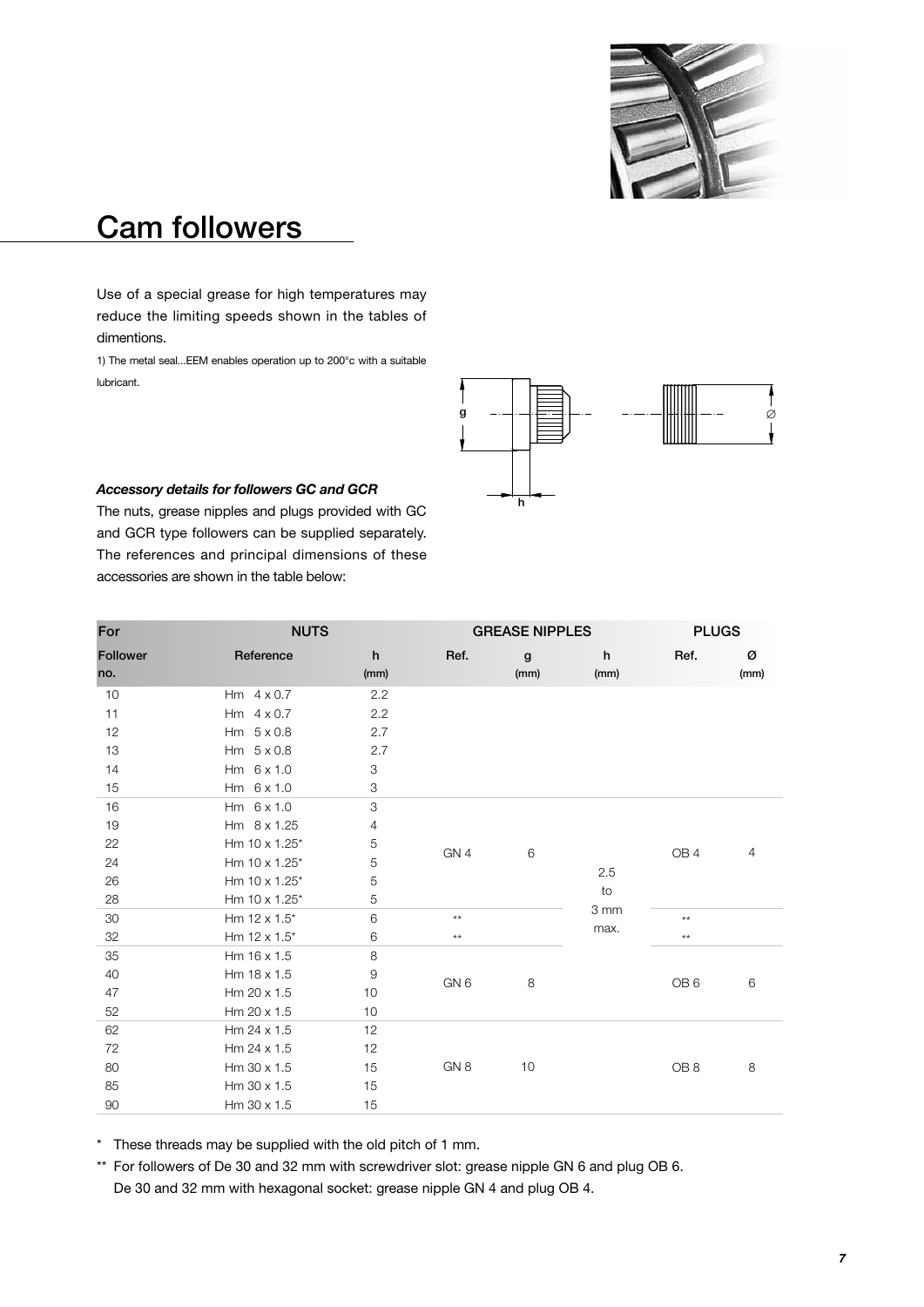

### Cam followers

Use of a special grease for high temperatures may reduce the limiting speeds shown in the tables of dimentions.

1) The metal seal...EEM enables operation up to 200°c with a suitable lubricant.



#### *Accessory details for followers GC and GCR*

The nuts, grease nipples and plugs provided with GC and GCR type followers can be supplied separately. The references and principal dimensions of these accessories are shown in the table below:

| For      | <b>NUTS</b>           |                |                 | <b>GREASE NIPPLES</b> |      | <b>PLUGS</b>    |      |  |
|----------|-----------------------|----------------|-----------------|-----------------------|------|-----------------|------|--|
| Follower | Reference             | h              | Ref.            | $\mathbf{g}$          | h    | Ref.            | Ø    |  |
| no.      |                       | (mm)           |                 | (mm)                  | (mm) |                 | (mm) |  |
| 10       | Hm $4 \times 0.7$     | 2.2            |                 |                       |      |                 |      |  |
| 11       | Hm $4 \times 0.7$     | 2.2            |                 |                       |      |                 |      |  |
| 12       | Hm $5 \times 0.8$     | 2.7            |                 |                       |      |                 |      |  |
| 13       | Hm $5 \times 0.8$     | 2.7            |                 |                       |      |                 |      |  |
| 14       | Hm 6 x 1.0            | 3              |                 |                       |      |                 |      |  |
| 15       | Hm 6 x 1.0            | 3              |                 |                       |      |                 |      |  |
| 16       | Hm 6 x 1.0            | 3              |                 |                       |      |                 |      |  |
| 19       | Hm $8 \times 1.25$    | $\overline{4}$ |                 |                       |      |                 |      |  |
| 22       | Hm 10 x 1.25*         | $\mathbf 5$    | GN 4            | 6                     |      | OB <sub>4</sub> | 4    |  |
| 24       | Hm $10 \times 1.25^*$ | 5              |                 |                       | 2.5  |                 |      |  |
| 26       | Hm $10 \times 1.25^*$ | 5              |                 |                       |      |                 |      |  |
| 28       | Hm 10 x 1.25*         | 5              |                 |                       | to   |                 |      |  |
| 30       | Hm $12 \times 1.5^*$  | 6              | $\star\star$    |                       | 3 mm | $^{\star\star}$ |      |  |
| 32       | Hm 12 x 1.5*          | 6              | $\star\star$    |                       | max. | $^{\star\star}$ |      |  |
| 35       | Hm $16 \times 1.5$    | 8              |                 |                       |      |                 |      |  |
| 40       | Hm 18 x 1.5           | 9              | GN <sub>6</sub> | 8                     |      | OB <sub>6</sub> | 6    |  |
| 47       | Hm $20 \times 1.5$    | 10             |                 |                       |      |                 |      |  |
| 52       | Hm 20 x 1.5           | 10             |                 |                       |      |                 |      |  |
| 62       | Hm 24 x 1.5           | 12             |                 |                       |      |                 |      |  |
| 72       | Hm $24 \times 1.5$    | 12             |                 |                       |      |                 |      |  |
| 80       | Hm 30 x 1.5           | 15             | GN <sub>8</sub> | 10                    |      | OB <sub>8</sub> | 8    |  |
| 85       | Hm 30 x 1.5           | 15             |                 |                       |      |                 |      |  |
| 90       | Hm 30 x 1.5           | 15             |                 |                       |      |                 |      |  |
|          |                       |                |                 |                       |      |                 |      |  |

\* These threads may be supplied with the old pitch of 1 mm.

\*\* For followers of De 30 and 32 mm with screwdriver slot: grease nipple GN 6 and plug OB 6. De 30 and 32 mm with hexagonal socket: grease nipple GN 4 and plug OB 4.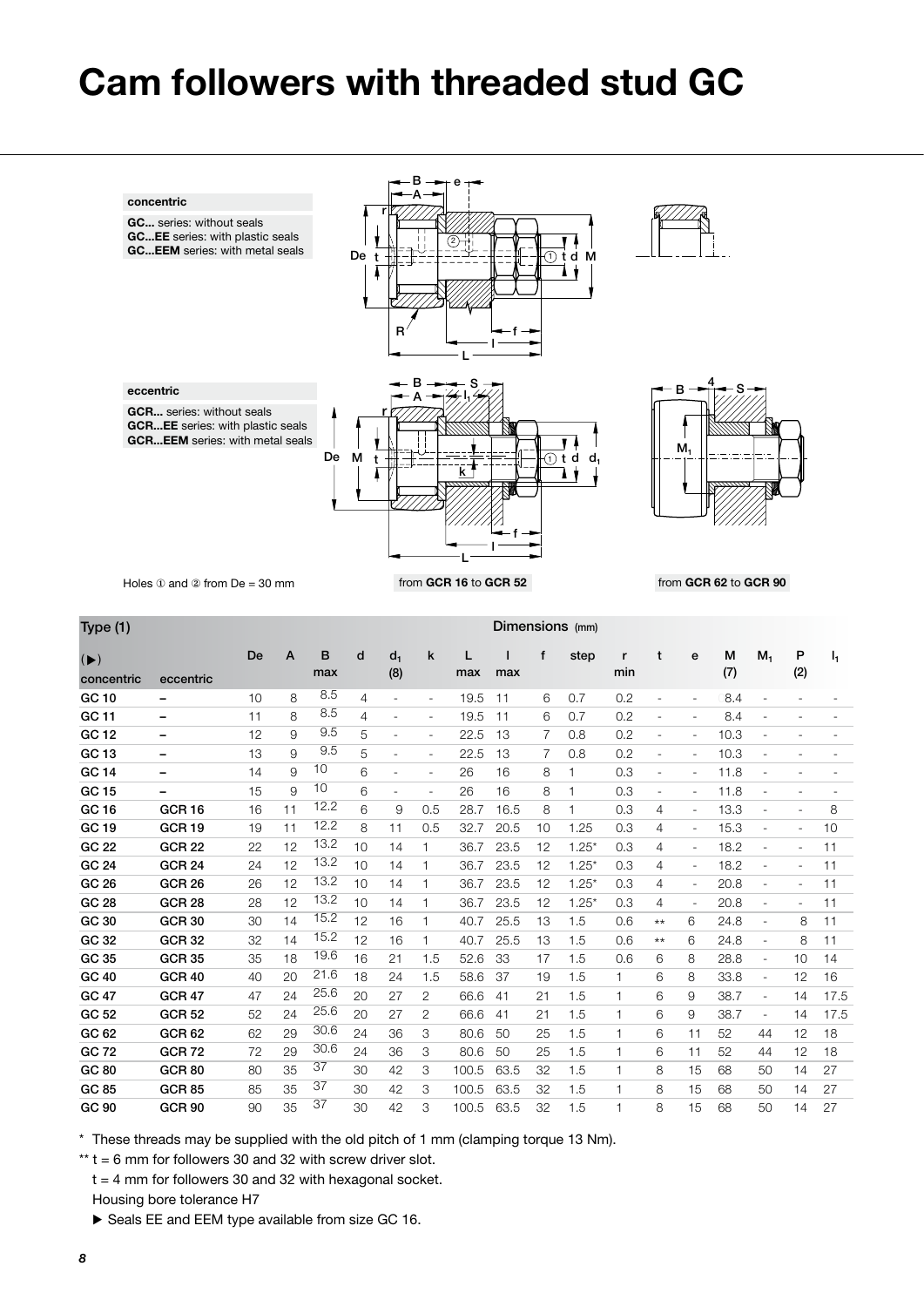### **Cam followers with threaded stud GC**



| Type (1)                              |               |    |                |          |    |                          |                          |          |      |             | Dimensions (mm) |              |                          |                          |          |                          |                          |       |
|---------------------------------------|---------------|----|----------------|----------|----|--------------------------|--------------------------|----------|------|-------------|-----------------|--------------|--------------------------|--------------------------|----------|--------------------------|--------------------------|-------|
| $(\blacktriangleright)$<br>concentric | eccentric     | De | $\overline{A}$ | B<br>max | d  | $d_1$<br>(8)             | k                        | L<br>max | max  | $\mathbf f$ | step            | r<br>min     | t                        | e                        | М<br>(7) | $M_1$                    | P<br>(2)                 | $I_1$ |
| GC 10                                 | -             | 10 | 8              | 8.5      | 4  | $\overline{\phantom{a}}$ | $\overline{\phantom{a}}$ | 19.5     | 11   | 6           | 0.7             | 0.2          | $\overline{\phantom{a}}$ | $\overline{\phantom{a}}$ | 8.4      | $\overline{\phantom{a}}$ |                          |       |
| GC 11                                 | -             | 11 | 8              | 8.5      | 4  | $\overline{\phantom{a}}$ | ٠                        | 19.5     | 11   | 6           | 0.7             | 0.2          | $\overline{\phantom{a}}$ | ٠                        | 8.4      |                          |                          |       |
| GC 12                                 | -             | 12 | 9              | 9.5      | 5  | L,                       | $\sim$                   | 22.5     | 13   | 7           | 0.8             | 0.2          | $\overline{\phantom{a}}$ | $\overline{a}$           | 10.3     | $\overline{\phantom{a}}$ |                          |       |
| GC 13                                 | -             | 13 | 9              | 9.5      | 5  | $\overline{\phantom{a}}$ | $\overline{\phantom{a}}$ | 22.5     | 13   | 7           | 0.8             | 0.2          | $\overline{\phantom{a}}$ | $\overline{\phantom{a}}$ | 10.3     | $\overline{\phantom{a}}$ |                          |       |
| GC 14                                 | -             | 14 | 9              | 10       | 6  |                          | $\overline{\phantom{a}}$ | 26       | 16   | 8           | 1               | 0.3          | $\overline{\phantom{a}}$ | $\overline{\phantom{a}}$ | 11.8     | $\overline{\phantom{a}}$ |                          |       |
| GC 15                                 | -             | 15 | 9              | 10       | 6  | $\overline{a}$           | $\overline{\phantom{a}}$ | 26       | 16   | 8           | 1               | 0.3          | $\overline{\phantom{a}}$ | $\overline{\phantom{a}}$ | 11.8     | $\overline{\phantom{a}}$ |                          |       |
| GC 16                                 | <b>GCR 16</b> | 16 | 11             | 12.2     | 6  | 9                        | 0.5                      | 28.7     | 16.5 | 8           | 1               | 0.3          | 4                        | $\overline{\phantom{a}}$ | 13.3     | $\overline{a}$           | $\overline{\phantom{a}}$ | 8     |
| GC 19                                 | <b>GCR 19</b> | 19 | 11             | 12.2     | 8  | 11                       | 0.5                      | 32.7     | 20.5 | 10          | 1.25            | 0.3          | 4                        | $\overline{\phantom{a}}$ | 15.3     | $\overline{\phantom{a}}$ | ÷,                       | 10    |
| GC 22                                 | <b>GCR 22</b> | 22 | 12             | 13.2     | 10 | 14                       | $\mathbf{1}$             | 36.7     | 23.5 | 12          | $1.25*$         | 0.3          | 4                        | $\overline{\phantom{a}}$ | 18.2     | $\overline{\phantom{a}}$ | $\overline{\phantom{a}}$ | 11    |
| GC 24                                 | <b>GCR 24</b> | 24 | 12             | 13.2     | 10 | 14                       | 1                        | 36.7     | 23.5 | 12          | $1.25*$         | 0.3          | 4                        | $\overline{\phantom{a}}$ | 18.2     | $\overline{\phantom{a}}$ | $\overline{\phantom{a}}$ | 11    |
| GC 26                                 | <b>GCR 26</b> | 26 | 12             | 13.2     | 10 | 14                       | $\mathbf{1}$             | 36.7     | 23.5 | 12          | $1.25*$         | 0.3          | 4                        | $\overline{\phantom{a}}$ | 20.8     | $\overline{\phantom{a}}$ | $\overline{\phantom{m}}$ | 11    |
| GC 28                                 | <b>GCR 28</b> | 28 | 12             | 13.2     | 10 | 14                       | 1                        | 36.7     | 23.5 | 12          | $1.25*$         | 0.3          | 4                        | $\overline{\phantom{a}}$ | 20.8     | $\overline{a}$           | $\overline{a}$           | 11    |
| GC 30                                 | <b>GCR 30</b> | 30 | 14             | 15.2     | 12 | 16                       | $\mathbf{1}$             | 40.7     | 25.5 | 13          | 1.5             | 0.6          | $\star\star$             | 6                        | 24.8     | $\overline{\phantom{a}}$ | 8                        | 11    |
| GC 32                                 | <b>GCR 32</b> | 32 | 14             | 15.2     | 12 | 16                       | $\mathbf{1}$             | 40.7     | 25.5 | 13          | 1.5             | 0.6          | $***$                    | 6                        | 24.8     | $\overline{\phantom{a}}$ | 8                        | 11    |
| GC 35                                 | <b>GCR 35</b> | 35 | 18             | 19.6     | 16 | 21                       | 1.5                      | 52.6     | 33   | 17          | 1.5             | 0.6          | 6                        | 8                        | 28.8     | $\overline{\phantom{a}}$ | 10                       | 14    |
| GC 40                                 | <b>GCR 40</b> | 40 | 20             | 21.6     | 18 | 24                       | 1.5                      | 58.6     | 37   | 19          | 1.5             | 1            | 6                        | 8                        | 33.8     | $\overline{\phantom{a}}$ | 12                       | 16    |
| GC 47                                 | <b>GCR 47</b> | 47 | 24             | 25.6     | 20 | 27                       | 2                        | 66.6     | 41   | 21          | 1.5             | 1            | 6                        | 9                        | 38.7     | $\overline{\phantom{0}}$ | 14                       | 17.5  |
| GC 52                                 | <b>GCR 52</b> | 52 | 24             | 25.6     | 20 | 27                       | 2                        | 66.6     | 41   | 21          | 1.5             | 1            | 6                        | 9                        | 38.7     | $\overline{\phantom{a}}$ | 14                       | 17.5  |
| GC 62                                 | <b>GCR 62</b> | 62 | 29             | 30.6     | 24 | 36                       | 3                        | 80.6     | 50   | 25          | 1.5             | 1            | 6                        | 11                       | 52       | 44                       | 12                       | 18    |
| GC 72                                 | <b>GCR 72</b> | 72 | 29             | 30.6     | 24 | 36                       | 3                        | 80.6     | 50   | 25          | 1.5             | 1            | 6                        | 11                       | 52       | 44                       | 12                       | 18    |
| GC 80                                 | <b>GCR 80</b> | 80 | 35             | 37       | 30 | 42                       | 3                        | 100.5    | 63.5 | 32          | 1.5             | 1            | 8                        | 15                       | 68       | 50                       | 14                       | 27    |
| GC 85                                 | <b>GCR 85</b> | 85 | 35             | 37       | 30 | 42                       | 3                        | 100.5    | 63.5 | 32          | 1.5             | 1            | 8                        | 15                       | 68       | 50                       | 14                       | 27    |
| GC 90                                 | <b>GCR 90</b> | 90 | 35             | 37       | 30 | 42                       | 3                        | 100.5    | 63.5 | 32          | 1.5             | $\mathbf{1}$ | 8                        | 15                       | 68       | 50                       | 14                       | 27    |

\* These threads may be supplied with the old pitch of 1 mm (clamping torque 13 Nm).

 $**$  t = 6 mm for followers 30 and 32 with screw driver slot.

 $t = 4$  mm for followers 30 and 32 with hexagonal socket.

Housing bore tolerance H7

▶ Seals EE and EEM type available from size GC 16.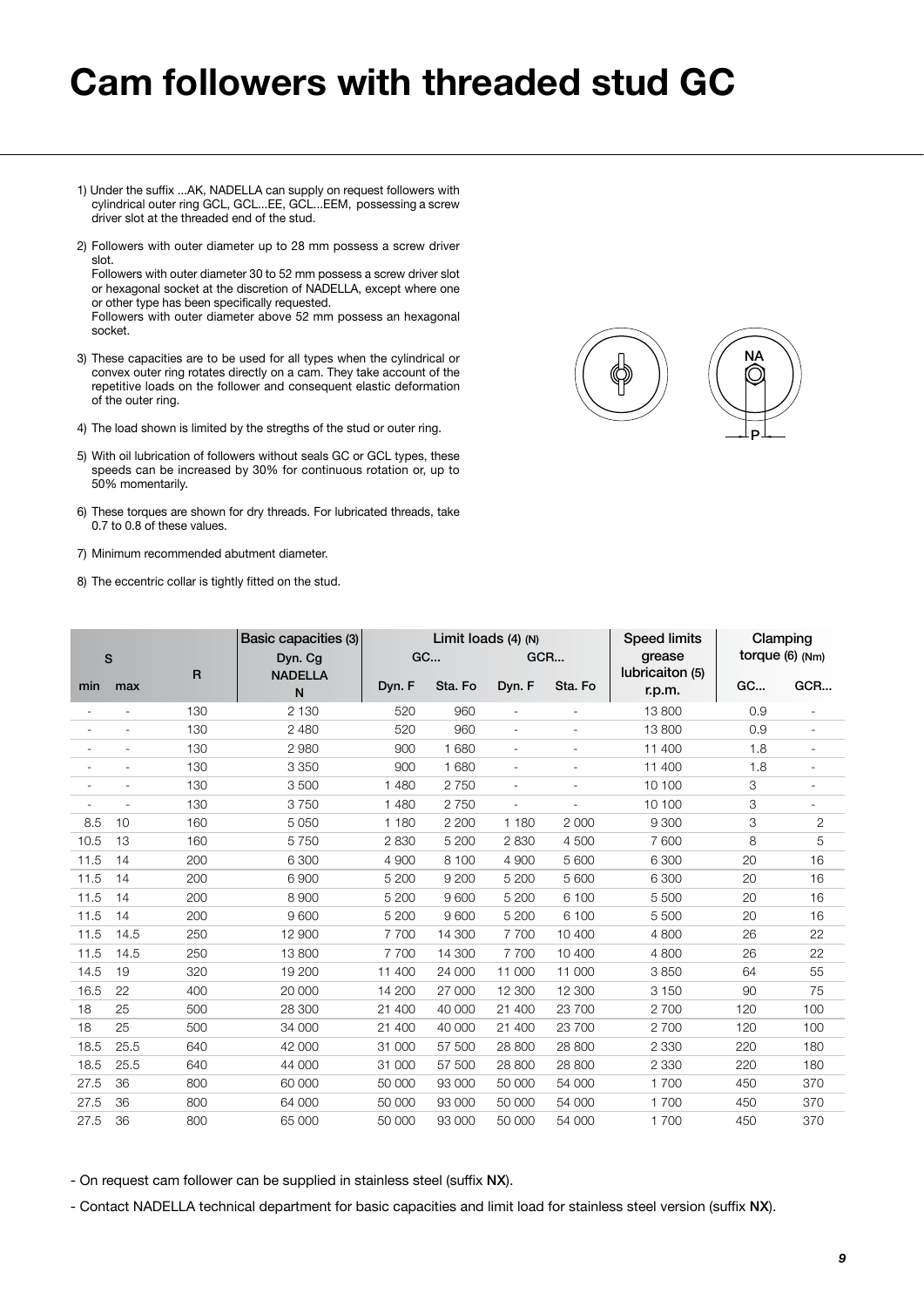### **Cam followers with threaded stud GC**

- 1) Under the suffix ...AK, NADELLA can supply on request followers with cylindrical outer ring GCL, GCL...EE, GCL...EEM, possessing a screw driver slot at the threaded end of the stud.
- 2) Followers with outer diameter up to 28 mm possess a screw driver slot.

or hexagonal socket at the discretion of NADELLA, except where one or other type has been specifically requested. Followers with outer diameter 30 to 52 mm possess a screw driver slot

Followers with outer diameter above 52 mm possess an hexagonal socket.

- 3) These capacities are to be used for all types when the cylindrical or  $\sqrt{2\pi N}$ convex outer ring rotates directly on a cam. They take account of the repetitive loads on the follower and consequent elastic deformation of the outer ring.
	- 4) The load shown is limited by the stregths of the stud or outer ring.
	- 5) With oil lubrication of followers without seals GC or GCL types, these B S 50% momentarily. speeds can be increased by 30% for continuous rotation or, up to
	- 6) These torques are shown for dry threads. For lubricated threads, take 0.7 to 0.8 of these values.
	- 7) Minimum recommended abutment diameter.<br>.
	- 8) The eccentric collar is tightly fitted on the stud.



| $\mathbf{s}$             |                          |              | Basic capacities (3)<br>Dyn. Cg |         | GC      | Limit loads $(4)$ $(N)$  | GCR                      | <b>Speed limits</b><br>grease<br>lubricaiton (5) | Clamping<br>torque $(6)$ (Nm) |                              |  |
|--------------------------|--------------------------|--------------|---------------------------------|---------|---------|--------------------------|--------------------------|--------------------------------------------------|-------------------------------|------------------------------|--|
| min                      | max                      | $\mathsf{R}$ | <b>NADELLA</b><br>N             | Dyn. F  | Sta. Fo | Dyn. F                   | Sta. Fo                  | r.p.m.                                           | GC                            | GCR                          |  |
| $\overline{\phantom{a}}$ | $\overline{\phantom{a}}$ | 130          | 2 1 3 0                         | 520     | 960     | ٠                        | $\overline{\phantom{a}}$ | 13 800                                           | 0.9                           |                              |  |
| ٠                        |                          | 130          | 2 4 8 0                         | 520     | 960     | $\overline{\phantom{a}}$ | $\overline{\phantom{a}}$ | 13 800                                           | 0.9                           | ٠                            |  |
| $\overline{\phantom{m}}$ |                          | 130          | 2980                            | 900     | 1 680   | $\overline{\phantom{a}}$ | $\overline{\phantom{a}}$ | 11 400                                           | 1.8                           | $\qquad \qquad \blacksquare$ |  |
|                          |                          | 130          | 3 3 5 0                         | 900     | 1 680   | ٠                        |                          | 11 400                                           | 1.8                           |                              |  |
| $\overline{\phantom{m}}$ |                          | 130          | 3500                            | 1 4 8 0 | 2750    | $\overline{\phantom{a}}$ | $\overline{\phantom{a}}$ | 10 100                                           | 3                             | ٠                            |  |
| ٠                        | $\overline{\phantom{a}}$ | 130          | 3750                            | 1 4 8 0 | 2750    | $\sim$                   | $\overline{\phantom{a}}$ | 10 100                                           | 3                             | ٠                            |  |
| 8.5                      | 10                       | 160          | 5 0 5 0                         | 1 1 8 0 | 2 2 0 0 | 1 1 8 0                  | 2 0 0 0                  | 9 3 0 0                                          | 3                             | 2                            |  |
| 10.5                     | 13                       | 160          | 5750                            | 2830    | 5 200   | 2830                     | 4 500                    | 7600                                             | 8                             | 5                            |  |
| 11.5                     | 14                       | 200          | 6 300                           | 4 900   | 8 100   | 4 900                    | 5 600                    | 6 300                                            | 20                            | 16                           |  |
| 11.5                     | 14                       | 200          | 6900                            | 5 200   | 9 200   | 5 200                    | 5 600                    | 6 300                                            | 20                            | 16                           |  |
| 11.5                     | 14                       | 200          | 8900                            | 5 200   | 9600    | 5 200                    | 6 100                    | 5 500                                            | 20                            | 16                           |  |
| 11.5                     | 14                       | 200          | 9600                            | 5 200   | 9600    | 5 200                    | 6 100                    | 5 500                                            | 20                            | 16                           |  |
| 11.5                     | 14.5                     | 250          | 12 900                          | 7 700   | 14 300  | 7700                     | 10 400                   | 4 800                                            | 26                            | 22                           |  |
| 11.5                     | 14.5                     | 250          | 13800                           | 7700    | 14 300  | 7700                     | 10 400                   | 4 800                                            | 26                            | 22                           |  |
| 14.5                     | 19                       | 320          | 19 200                          | 11 400  | 24 000  | 11 000                   | 11 000                   | 3850                                             | 64                            | 55                           |  |
| 16.5                     | 22                       | 400          | 20 000                          | 14 200  | 27 000  | 12 300                   | 12 300                   | 3 1 5 0                                          | 90                            | 75                           |  |
| 18                       | 25                       | 500          | 28 300                          | 21 400  | 40 000  | 21 400                   | 23 700                   | 2 700                                            | 120                           | 100                          |  |
| 18                       | 25                       | 500          | 34 000                          | 21 400  | 40 000  | 21 400                   | 23 700                   | 2 700                                            | 120                           | 100                          |  |
| 18.5                     | 25.5                     | 640          | 42 000                          | 31 000  | 57 500  | 28 800                   | 28 800                   | 2 3 3 0                                          | 220                           | 180                          |  |
| 18.5                     | 25.5                     | 640          | 44 000                          | 31 000  | 57 500  | 28 800                   | 28 800                   | 2 3 3 0                                          | 220                           | 180                          |  |
| 27.5                     | 36                       | 800          | 60 000                          | 50 000  | 93 000  | 50 000                   | 54 000                   | 1 700                                            | 450                           | 370                          |  |
| 27.5                     | 36                       | 800          | 64 000                          | 50 000  | 93 000  | 50 000                   | 54 000                   | 1 700                                            | 450                           | 370                          |  |
| 27.5                     | 36                       | 800          | 65 000                          | 50 000  | 93 000  | 50 000                   | 54 000                   | 1 700                                            | 450                           | 370                          |  |

- On request cam follower can be supplied in stainless steel (suffix NX).

- Contact NADELLA technical department for basic capacities and limit load for stainless steel version (suffix NX).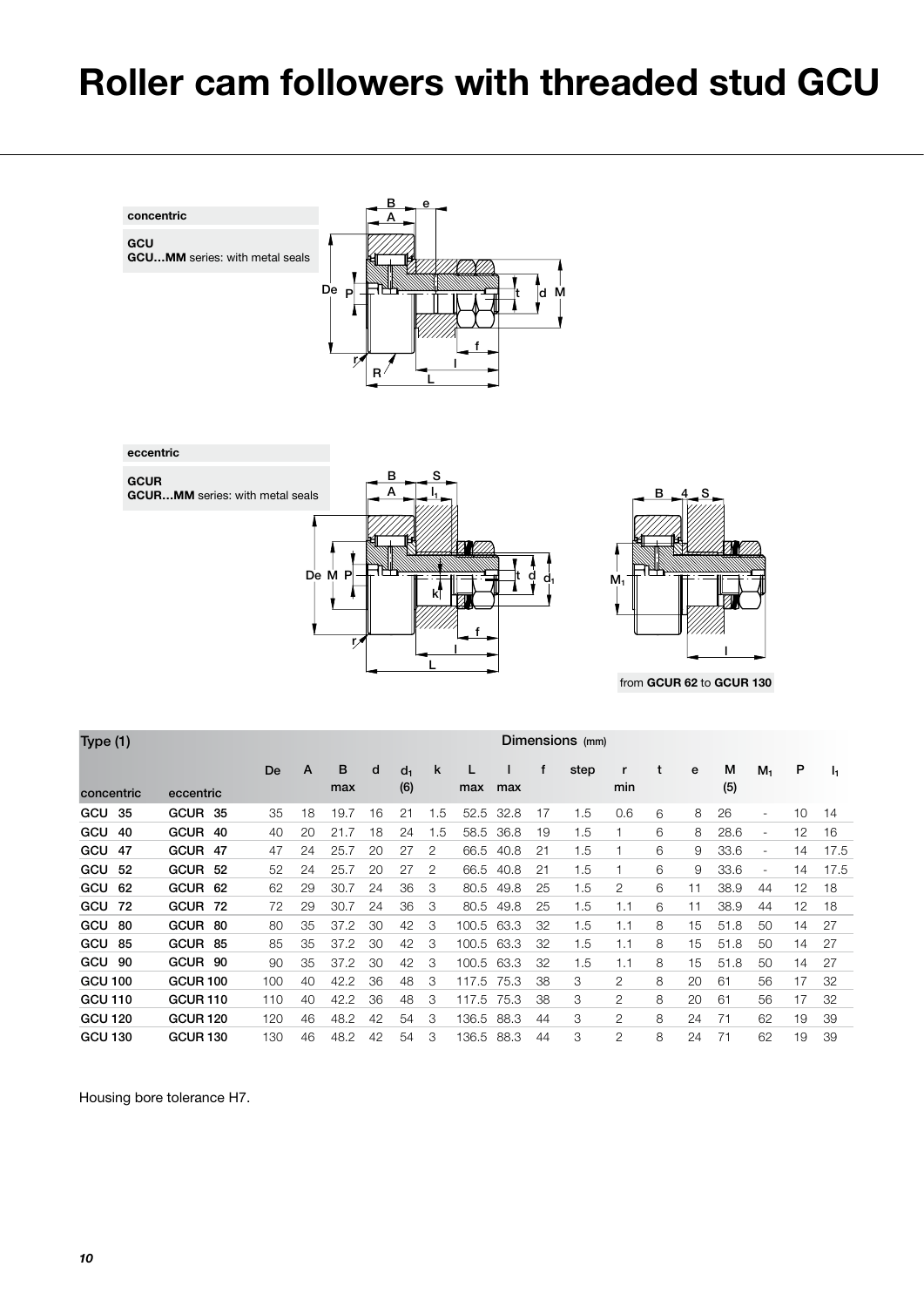### **Roller cam followers with threaded stud GCU**





| Type (1)       |                    |     |    |          |    |              |     |       |      | Dimensions (mm) |      |                |   |    |          |                          |                 |       |
|----------------|--------------------|-----|----|----------|----|--------------|-----|-------|------|-----------------|------|----------------|---|----|----------|--------------------------|-----------------|-------|
|                |                    | De  | A  | B<br>max | d  | $d_1$<br>(6) | k   | max   | max  | f               | step | min            | t | e  | М<br>(5) | $M_1$                    | P               | $I_1$ |
| concentric     | eccentric          |     |    |          |    |              |     |       |      |                 |      |                |   |    |          |                          |                 |       |
| GCU 35         | GCUR 35            | 35  | 18 | 19.7     | 16 | 21           | 1.5 | 52.5  | 32.8 | 17              | 1.5  | 0.6            | 6 | 8  | 26       | $\overline{\phantom{a}}$ | 10 <sup>1</sup> | 14    |
| GCU<br>40      | GCUR 40            | 40  | 20 | 21.7     | 18 | 24           | 1.5 | 58.5  | 36.8 | 19              | 1.5  | 1              | 6 | 8  | 28.6     | $\overline{\phantom{a}}$ | 12              | 16    |
| GCU 47         | GCUR 47            | 47  | 24 | 25.7     | 20 | 27           | 2   | 66.5  | 40.8 | 21              | 1.5  | 1              | 6 | 9  | 33.6     | $\overline{\phantom{a}}$ | 14              | 17.5  |
| GCU 52         | GCUR <sub>52</sub> | 52  | 24 | 25.7     | 20 | 27           | 2   | 66.5  | 40.8 | 21              | 1.5  | 1              | 6 | 9  | 33.6     | $\overline{\phantom{a}}$ | 14              | 17.5  |
| GCU 62         | GCUR 62            | 62  | 29 | 30.7     | 24 | 36           | 3   | 80.5  | 49.8 | 25              | 1.5  | 2              | 6 | 11 | 38.9     | 44                       | 12              | 18    |
| GCU 72         | GCUR 72            | 72  | 29 | 30.7     | 24 | 36           | 3   | 80.5  | 49.8 | 25              | 1.5  | 1.1            | 6 | 11 | 38.9     | 44                       | 12              | 18    |
| GCU 80         | GCUR 80            | 80  | 35 | 37.2     | 30 | 42           | 3   | 100.5 | 63.3 | 32              | 1.5  | 1.1            | 8 | 15 | 51.8     | 50                       | 14              | 27    |
| GCU 85         | GCUR 85            | 85  | 35 | 37.2     | 30 | 42           | 3   | 100.5 | 63.3 | 32              | 1.5  | 1.1            | 8 | 15 | 51.8     | 50                       | 14              | 27    |
| GCU 90         | GCUR 90            | 90  | 35 | 37.2     | 30 | 42           | 3   | 100.5 | 63.3 | 32              | 1.5  | 1.1            | 8 | 15 | 51.8     | 50                       | 14              | 27    |
| <b>GCU 100</b> | <b>GCUR 100</b>    | 100 | 40 | 42.2     | 36 | 48           | 3   | 117.5 | 75.3 | 38              | 3    | 2              | 8 | 20 | 61       | 56                       | 17              | 32    |
| <b>GCU 110</b> | <b>GCUR 110</b>    | 110 | 40 | 42.2     | 36 | 48           | 3   | 117.5 | 75.3 | 38              | 3    | 2              | 8 | 20 | 61       | 56                       | 17              | 32    |
| <b>GCU 120</b> | <b>GCUR 120</b>    | 120 | 46 | 48.2     | 42 | 54           | 3   | 136.5 | 88.3 | 44              | 3    | 2              | 8 | 24 | 71       | 62                       | 19              | 39    |
| <b>GCU 130</b> | <b>GCUR 130</b>    | 130 | 46 | 48.2     | 42 | 54           | 3   | 136.5 | 88.3 | 44              | 3    | $\overline{2}$ | 8 | 24 | 71       | 62                       | 19              | 39    |

Housing bore tolerance H7.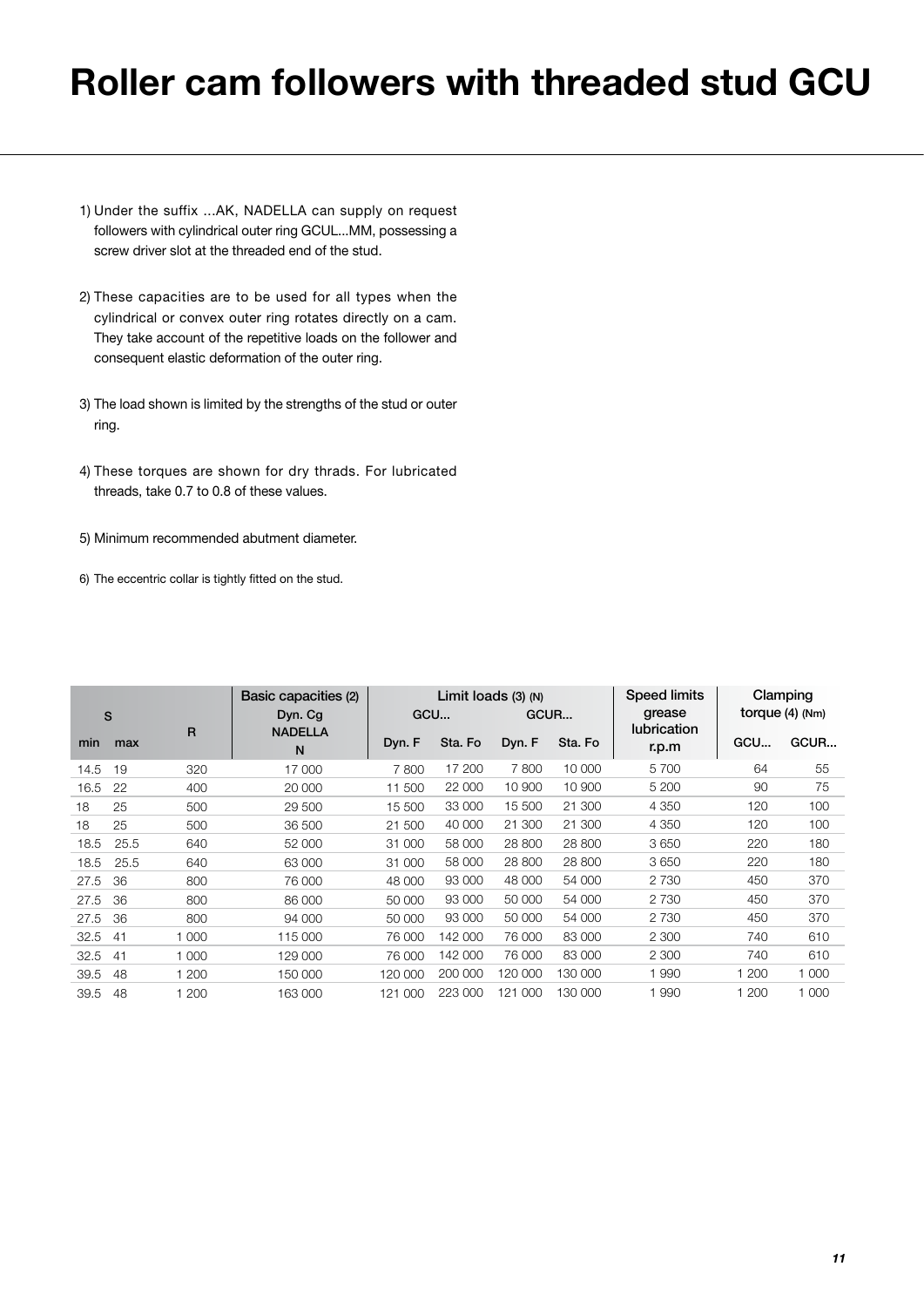### **Roller cam followers with threaded stud GCU**

- 1) Under the suffix ...AK, NADELLA can supply on request followers with cylindrical outer ring GCUL...MM, possessing a screw driver slot at the threaded end of the stud.
- 2) These capacities are to be used for all types when the cylindrical or convex outer ring rotates directly on a cam. They take account of the repetitive loads on the follower and consequent elastic deformation of the outer ring.
- 3) The load shown is limited by the strengths of the stud or outer ring.
- 4) These torques are shown for dry thrads. For lubricated threads, take 0.7 to 0.8 of these values.
- 5) Minimum recommended abutment diameter.
- 6) The eccentric collar is tightly fitted on the stud.

| S    |      |       | Basic capacities (2)<br>Dyn. Cg |         | GCU     | Limit loads $(3)$ $(N)$ | GCUR    | <b>Speed limits</b><br>grease | Clamping<br>torque $(4)$ (Nm) |         |  |
|------|------|-------|---------------------------------|---------|---------|-------------------------|---------|-------------------------------|-------------------------------|---------|--|
| min  | max  | R     | <b>NADELLA</b><br>N             | Dyn. F  | Sta. Fo | Dyn. F                  | Sta. Fo | <b>lubrication</b><br>r.p.m   | GCU                           | GCUR    |  |
| 14.5 | 19   | 320   | 17 000                          | 7800    | 17 200  | 7800                    | 10 000  | 5700                          | 64                            | 55      |  |
| 16.5 | 22   | 400   | 20 000                          | 11 500  | 22 000  | 10 900                  | 10 900  | 5 200                         | 90                            | 75      |  |
| 18   | 25   | 500   | 29 500                          | 15 500  | 33 000  | 15 500                  | 21 300  | 4 3 5 0                       | 120                           | 100     |  |
| 18   | 25   | 500   | 36 500                          | 21 500  | 40 000  | 21 300                  | 21 300  | 4 3 5 0                       | 120                           | 100     |  |
| 18.5 | 25.5 | 640   | 52 000                          | 31 000  | 58 000  | 28 800                  | 28 800  | 3650                          | 220                           | 180     |  |
| 18.5 | 25.5 | 640   | 63 000                          | 31 000  | 58 000  | 28 800                  | 28 800  | 3650                          | 220                           | 180     |  |
| 27.5 | 36   | 800   | 76 000                          | 48 000  | 93 000  | 48 000                  | 54 000  | 2 7 3 0                       | 450                           | 370     |  |
| 27.5 | 36   | 800   | 86 000                          | 50 000  | 93 000  | 50 000                  | 54 000  | 2 7 3 0                       | 450                           | 370     |  |
| 27.5 | 36   | 800   | 94 000                          | 50 000  | 93 000  | 50 000                  | 54 000  | 2 7 3 0                       | 450                           | 370     |  |
| 32.5 | 41   | 1 000 | 115 000                         | 76 000  | 142 000 | 76 000                  | 83 000  | 2 3 0 0                       | 740                           | 610     |  |
| 32.5 | 41   | 1 000 | 129 000                         | 76 000  | 142 000 | 76 000                  | 83 000  | 2 3 0 0                       | 740                           | 610     |  |
| 39.5 | 48   | 1 200 | 150 000                         | 120 000 | 200 000 | 120 000                 | 130 000 | 990                           | 1 200                         | 1 0 0 0 |  |
| 39.5 | 48   | 1 200 | 163 000                         | 121 000 | 223 000 | 121 000                 | 130 000 | 990                           | 1 200                         | 1 0 0 0 |  |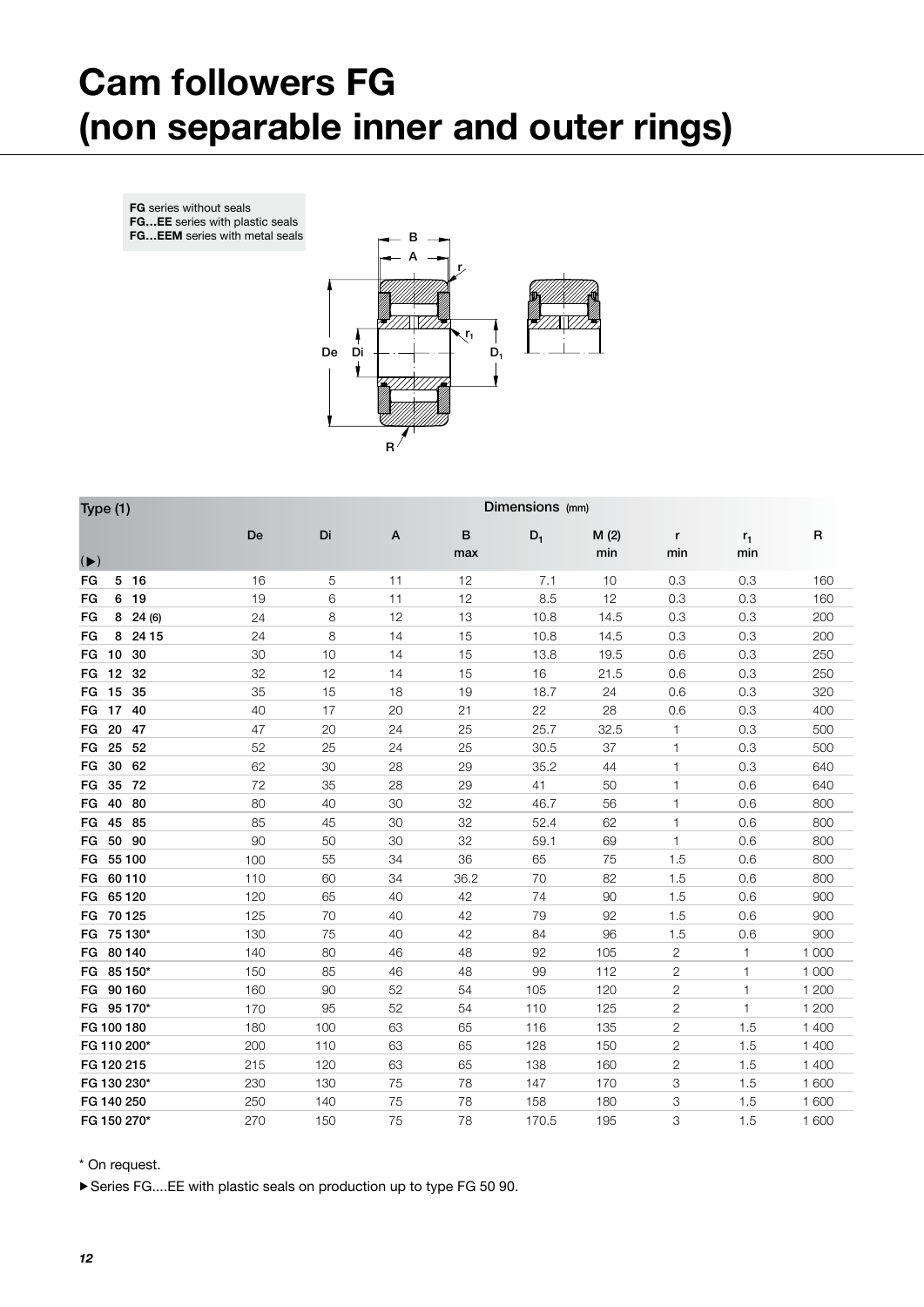## **Cam followers FG (non separable inner and outer rings)**

**FG** series without seals **FG…EE** series with plastic seals

**FG…EEM** series with metal seals



| Type (1)                    | Dimensions (mm) |     |              |                 |       |             |                |              |           |  |  |
|-----------------------------|-----------------|-----|--------------|-----------------|-------|-------------|----------------|--------------|-----------|--|--|
|                             | De              | Di  | $\mathsf{A}$ | $\sf{B}$<br>max | $D_1$ | M(2)<br>min | r<br>min       | $r_1$<br>min | ${\sf R}$ |  |  |
| $(\blacktriangleright)$     |                 |     |              |                 |       |             |                |              |           |  |  |
| 5 16<br>FG                  | 16              | 5   | 11           | 12              | 7.1   | 10          | 0.3            | 0.3          | 160       |  |  |
| 6 19<br>FG                  | 19              | 6   | 11           | 12              | 8.5   | 12          | 0.3            | 0.3          | 160       |  |  |
| FG<br>8 24 (6)              | 24              | 8   | 12           | 13              | 10.8  | 14.5        | 0.3            | 0.3          | 200       |  |  |
| FG<br>8<br>24 15            | 24              | 8   | 14           | 15              | 10.8  | 14.5        | 0.3            | 0.3          | 200       |  |  |
| 10 <sup>1</sup><br>30<br>FG | 30              | 10  | 14           | 15              | 13.8  | 19.5        | 0.6            | 0.3          | 250       |  |  |
| 12 <sup>7</sup><br>32<br>FG | 32              | 12  | 14           | 15              | 16    | 21.5        | 0.6            | 0.3          | 250       |  |  |
| 15<br>35<br>FG              | 35              | 15  | 18           | 19              | 18.7  | 24          | 0.6            | 0.3          | 320       |  |  |
| FG<br>17<br>40              | 40              | 17  | 20           | 21              | 22    | 28          | 0.6            | 0.3          | 400       |  |  |
| 20<br>47<br>FG              | 47              | 20  | 24           | 25              | 25.7  | 32.5        | 1              | 0.3          | 500       |  |  |
| 25<br>52<br><b>FG</b>       | 52              | 25  | 24           | 25              | 30.5  | 37          | 1              | 0.3          | 500       |  |  |
| 30<br>62<br>FG              | 62              | 30  | 28           | 29              | 35.2  | 44          | 1              | 0.3          | 640       |  |  |
| 35 72<br>FG                 | 72              | 35  | 28           | 29              | 41    | 50          | 1              | 0.6          | 640       |  |  |
| FG<br>40<br>80              | 80              | 40  | 30           | 32              | 46.7  | 56          | 1              | 0.6          | 800       |  |  |
| 45<br>85<br>FG              | 85              | 45  | 30           | 32              | 52.4  | 62          | 1              | 0.6          | 800       |  |  |
| 50<br>90<br><b>FG</b>       | 90              | 50  | 30           | 32              | 59.1  | 69          | 1              | 0.6          | 800       |  |  |
| 55 100<br>FG                | 100             | 55  | 34           | 36              | 65    | 75          | 1.5            | 0.6          | 800       |  |  |
| 60 110<br>FG                | 110             | 60  | 34           | 36.2            | 70    | 82          | 1.5            | 0.6          | 800       |  |  |
| 65 1 20<br>FG               | 120             | 65  | 40           | 42              | 74    | 90          | 1.5            | 0.6          | 900       |  |  |
| 70 125<br>FG                | 125             | 70  | 40           | 42              | 79    | 92          | 1.5            | 0.6          | 900       |  |  |
| 75 130*<br>FG               | 130             | 75  | 40           | 42              | 84    | 96          | 1.5            | 0.6          | 900       |  |  |
| 80 140<br>FG                | 140             | 80  | 46           | 48              | 92    | 105         | $\overline{c}$ | 1            | 1 0 0 0   |  |  |
| 85 150*<br><b>FG</b>        | 150             | 85  | 46           | 48              | 99    | 112         | $\overline{c}$ | 1            | 1 0 0 0   |  |  |
| 90 160<br><b>FG</b>         | 160             | 90  | 52           | 54              | 105   | 120         | $\sqrt{2}$     | 1            | 1 200     |  |  |
| 95 170*<br>FG               | 170             | 95  | 52           | 54              | 110   | 125         | $\sqrt{2}$     | $\mathbf{1}$ | 1 200     |  |  |
| FG 100 180                  | 180             | 100 | 63           | 65              | 116   | 135         | 2              | 1.5          | 1 400     |  |  |
| FG 110 200*                 | 200             | 110 | 63           | 65              | 128   | 150         | $\sqrt{2}$     | 1.5          | 1 400     |  |  |
| FG 120 215                  | 215             | 120 | 63           | 65              | 138   | 160         | 2              | 1.5          | 1 400     |  |  |
| FG 130 230*                 | 230             | 130 | 75           | 78              | 147   | 170         | 3              | 1.5          | 1 600     |  |  |
| FG 140 250                  | 250             | 140 | 75           | 78              | 158   | 180         | 3              | 1.5          | 1 600     |  |  |
| FG 150 270*                 | 270             | 150 | 75           | 78              | 170.5 | 195         | 3              | 1.5          | 1 600     |  |  |

\* On request.

▶ Series FG....EE with plastic seals on production up to type FG 50 90.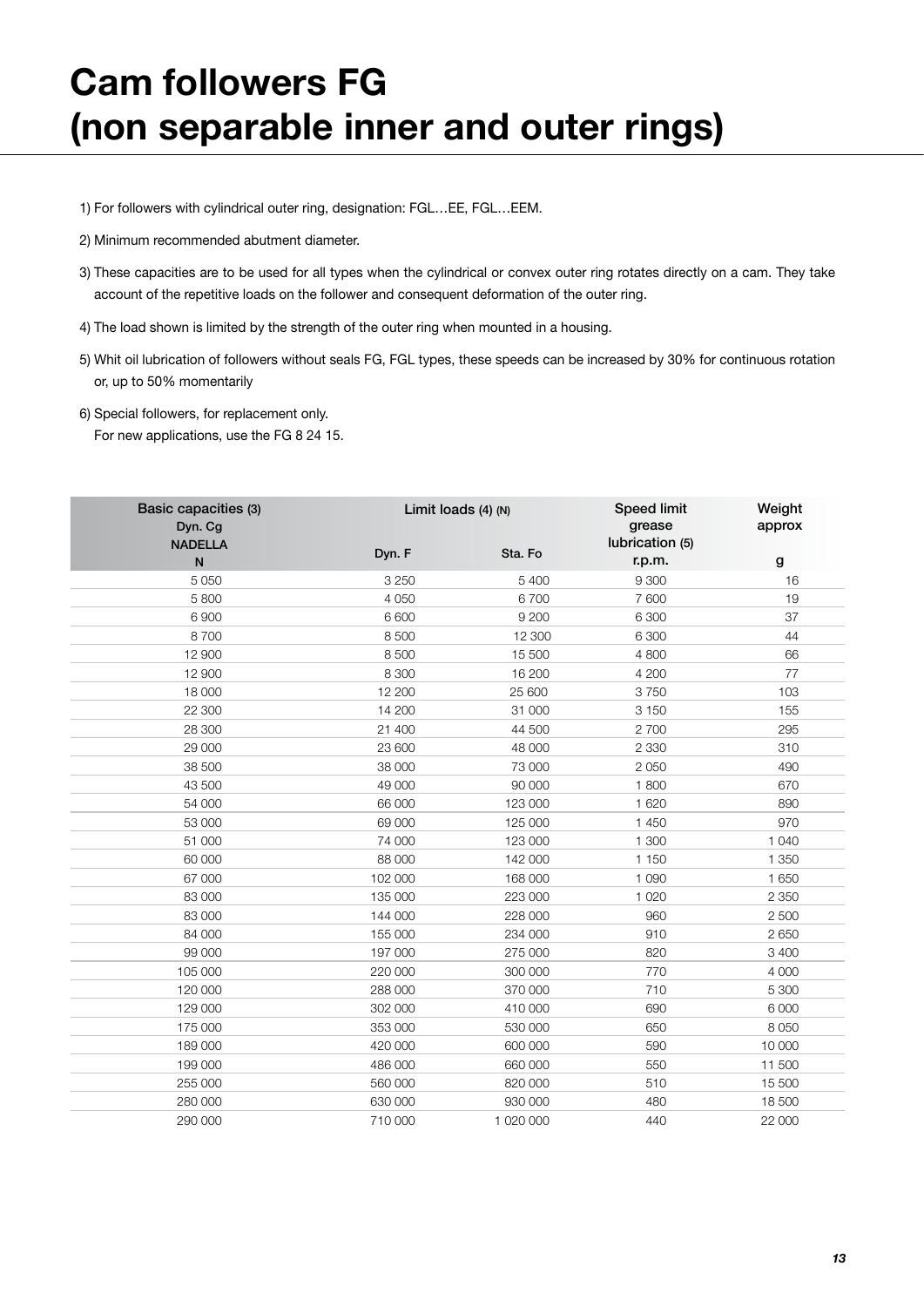## **Cam followers FG (non separable inner and outer rings)**

1) For followers with cylindrical outer ring, designation: FGL…EE, FGL…EEM.

- 2) Minimum recommended abutment diameter.
- 3) These capacities are to be used for all types when the cylindrical or convex outer ring rotates directly on a cam. They take account of the repetitive loads on the follower and consequent deformation of the outer ring.
- 4) The load shown is limited by the strength of the outer ring when mounted in a housing.
- 5) Whit oil lubrication of followers without seals FG, FGL types, these speeds can be increased by 30% for continuous rotation or, up to 50% momentarily
- 6) Special followers, for replacement only.

For new applications, use the FG 8 24 15.

| Basic capacities (3)<br>Dyn. Cg |         | Limit loads (4) (N) | <b>Speed limit</b><br>grease | Weight<br>approx |
|---------------------------------|---------|---------------------|------------------------------|------------------|
| <b>NADELLA</b>                  | Dyn. F  | Sta. Fo             | lubrication (5)              |                  |
| N                               |         |                     | r.p.m.                       | $\boldsymbol{g}$ |
| 5 0 5 0                         | 3 2 5 0 | 5 4 0 0             | 9 3 0 0                      | 16               |
| 5 800                           | 4 0 5 0 | 6700                | 7 600                        | 19               |
| 6 9 0 0                         | 6 600   | 9 2 0 0             | 6 3 0 0                      | 37               |
| 8700                            | 8 500   | 12 300              | 6 300                        | 44               |
| 12 900                          | 8 500   | 15 500              | 4 800                        | 66               |
| 12 900                          | 8 3 0 0 | 16 200              | 4 200                        | 77               |
| 18 000                          | 12 200  | 25 600              | 3750                         | 103              |
| 22 300                          | 14 200  | 31 000              | 3 1 5 0                      | 155              |
| 28 300                          | 21 400  | 44 500              | 2700                         | 295              |
| 29 000                          | 23 600  | 48 000              | 2 3 3 0                      | 310              |
| 38 500                          | 38 000  | 73 000              | 2 0 5 0                      | 490              |
| 43 500                          | 49 000  | 90 000              | 1800                         | 670              |
| 54 000                          | 66 000  | 123 000             | 1 6 2 0                      | 890              |
| 53 000                          | 69 000  | 125 000             | 1 4 5 0                      | 970              |
| 51 000                          | 74 000  | 123 000             | 1 300                        | 1 0 4 0          |
| 60 000                          | 88 000  | 142 000             | 1 1 5 0                      | 1 3 5 0          |
| 67 000                          | 102 000 | 168 000             | 1 0 9 0                      | 1 650            |
| 83 000                          | 135 000 | 223 000             | 1 0 2 0                      | 2 3 5 0          |
| 83 000                          | 144 000 | 228 000             | 960                          | 2 500            |
| 84 000                          | 155 000 | 234 000             | 910                          | 2 6 5 0          |
| 99 000                          | 197 000 | 275 000             | 820                          | 3 4 0 0          |
| 105 000                         | 220 000 | 300 000             | 770                          | 4 0 0 0          |
| 120 000                         | 288 000 | 370 000             | 710                          | 5 300            |
| 129 000                         | 302 000 | 410 000             | 690                          | 6 0 0 0          |
| 175 000                         | 353 000 | 530 000             | 650                          | 8 0 5 0          |
| 189 000                         | 420 000 | 600 000             | 590                          | 10 000           |
| 199 000                         | 486 000 | 660 000             | 550                          | 11 500           |
| 255 000                         | 560 000 | 820 000             | 510                          | 15 500           |
| 280 000                         | 630 000 | 930 000             | 480                          | 18 500           |
| 290 000                         | 710 000 | 1 020 000           | 440                          | 22 000           |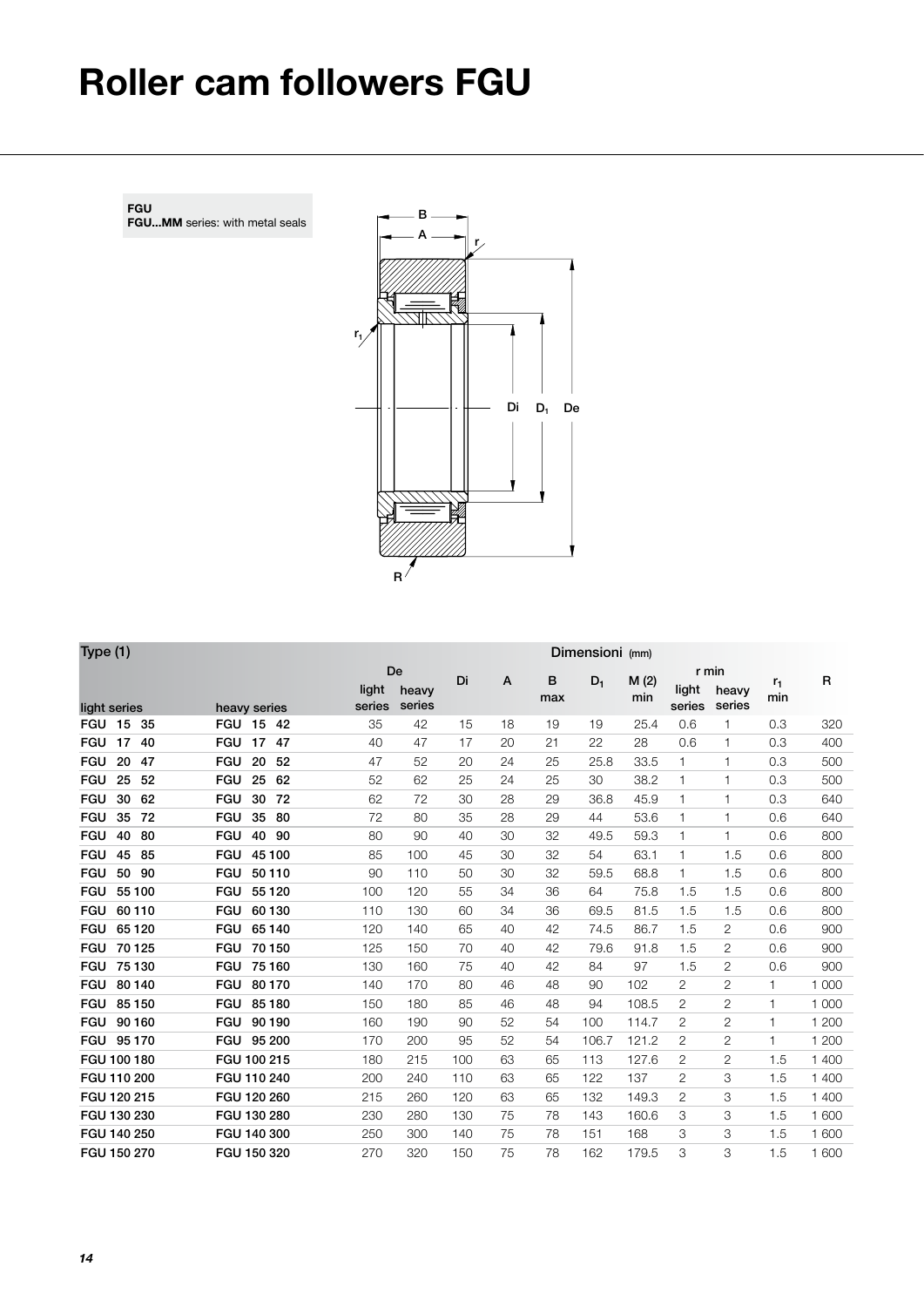### **Roller cam followers FGU**

**FGU FGU...MM** series: with metal seals



| Type (1)               |                        |                       |                 |     |    |          | Dimensioni (mm) |             |                          |                 |              |       |
|------------------------|------------------------|-----------------------|-----------------|-----|----|----------|-----------------|-------------|--------------------------|-----------------|--------------|-------|
| light series           | heavy series           | De<br>light<br>series | heavy<br>series | Di  | A  | B<br>max | $D_1$           | M(2)<br>min | r min<br>light<br>series | heavy<br>series | $r_1$<br>min | R     |
| <b>FGU</b><br>15 35    | <b>FGU 15</b><br>-42   | 35                    | 42              | 15  | 18 | 19       | 19              | 25.4        | 0.6                      | $\mathbf{1}$    | 0.3          | 320   |
| <b>FGU</b><br>17<br>40 | <b>FGU</b><br>17<br>47 | 40                    | 47              | 17  | 20 | 21       | 22              | 28          | 0.6                      | 1               | 0.3          | 400   |
| <b>FGU</b><br>20<br>47 | 20<br><b>FGU</b><br>52 | 47                    | 52              | 20  | 24 | 25       | 25.8            | 33.5        | 1                        | 1               | 0.3          | 500   |
| <b>FGU</b><br>25<br>52 | 25<br>62<br><b>FGU</b> | 52                    | 62              | 25  | 24 | 25       | 30              | 38.2        | 1                        | $\mathbf{1}$    | 0.3          | 500   |
| <b>FGU</b><br>30<br>62 | 30<br>72<br><b>FGU</b> | 62                    | 72              | 30  | 28 | 29       | 36.8            | 45.9        | $\mathbf{1}$             | $\mathbf{1}$    | 0.3          | 640   |
| <b>FGU</b><br>35<br>72 | 35<br><b>FGU</b><br>80 | 72                    | 80              | 35  | 28 | 29       | 44              | 53.6        | 1                        | $\mathbf{1}$    | 0.6          | 640   |
| 40<br><b>FGU</b><br>80 | <b>FGU</b><br>40<br>90 | 80                    | 90              | 40  | 30 | 32       | 49.5            | 59.3        | 1                        | 1               | 0.6          | 800   |
| <b>FGU</b><br>45<br>85 | 45 100<br><b>FGU</b>   | 85                    | 100             | 45  | 30 | 32       | 54              | 63.1        | 1                        | 1.5             | 0.6          | 800   |
| <b>FGU</b><br>50 90    | 50 110<br><b>FGU</b>   | 90                    | 110             | 50  | 30 | 32       | 59.5            | 68.8        | 1                        | 1.5             | 0.6          | 800   |
| <b>FGU</b><br>55 100   | 55 120<br><b>FGU</b>   | 100                   | 120             | 55  | 34 | 36       | 64              | 75.8        | 1.5                      | 1.5             | 0.6          | 800   |
| <b>FGU</b><br>60 110   | <b>FGU</b><br>60 130   | 110                   | 130             | 60  | 34 | 36       | 69.5            | 81.5        | 1.5                      | 1.5             | 0.6          | 800   |
| <b>FGU</b><br>65 1 20  | 65 140<br><b>FGU</b>   | 120                   | 140             | 65  | 40 | 42       | 74.5            | 86.7        | 1.5                      | 2               | 0.6          | 900   |
| <b>FGU</b><br>70 125   | <b>FGU</b><br>70 150   | 125                   | 150             | 70  | 40 | 42       | 79.6            | 91.8        | 1.5                      | $\overline{2}$  | 0.6          | 900   |
| <b>FGU</b><br>75 130   | <b>FGU</b><br>75 160   | 130                   | 160             | 75  | 40 | 42       | 84              | 97          | 1.5                      | $\overline{2}$  | 0.6          | 900   |
| <b>FGU</b><br>80 140   | 80 170<br><b>FGU</b>   | 140                   | 170             | 80  | 46 | 48       | 90              | 102         | $\overline{2}$           | 2               | 1.           | 1 000 |
| <b>FGU</b><br>85 150   | 85 180<br><b>FGU</b>   | 150                   | 180             | 85  | 46 | 48       | 94              | 108.5       | $\overline{2}$           | $\overline{2}$  | $\mathbf{1}$ | 1 000 |
| <b>FGU</b><br>90 160   | 90 190<br><b>FGU</b>   | 160                   | 190             | 90  | 52 | 54       | 100             | 114.7       | $\overline{2}$           | $\overline{2}$  | 1            | 1 200 |
| FGU 95170              | FGU 95 200             | 170                   | 200             | 95  | 52 | 54       | 106.7           | 121.2       | $\overline{2}$           | $\overline{2}$  | 1.           | 1 200 |
| FGU 100 180            | FGU 100 215            | 180                   | 215             | 100 | 63 | 65       | 113             | 127.6       | $\overline{2}$           | $\overline{2}$  | 1.5          | 1 400 |
| FGU 110 200            | FGU 110 240            | 200                   | 240             | 110 | 63 | 65       | 122             | 137         | $\overline{2}$           | 3               | 1.5          | 1 400 |
| FGU 120 215            | FGU 120 260            | 215                   | 260             | 120 | 63 | 65       | 132             | 149.3       | 2                        | 3               | 1.5          | 1 400 |
| FGU 130 230            | FGU 130 280            | 230                   | 280             | 130 | 75 | 78       | 143             | 160.6       | 3                        | 3               | 1.5          | 1 600 |
| FGU 140 250            | FGU 140 300            | 250                   | 300             | 140 | 75 | 78       | 151             | 168         | 3                        | 3               | 1.5          | 1 600 |
| FGU 150 270            | FGU 150 320            | 270                   | 320             | 150 | 75 | 78       | 162             | 179.5       | 3                        | 3               | 1.5          | 1 600 |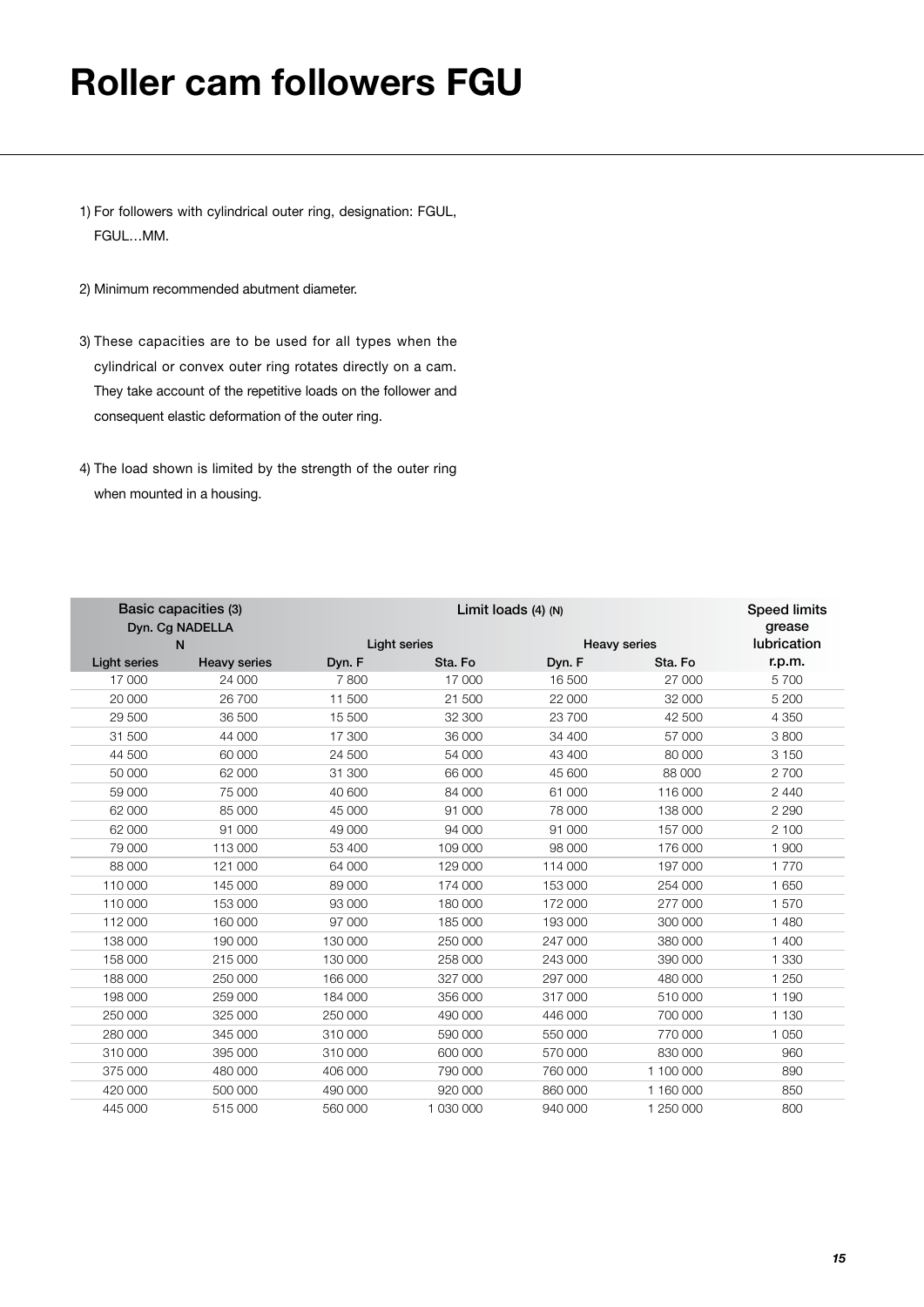### **Roller cam followers FGU**

- 1) For followers with cylindrical outer ring, designation: FGUL, FGUL…MM.
- 2) Minimum recommended abutment diameter.
- 3) These capacities are to be used for all types when the cylindrical or convex outer ring rotates directly on a cam. They take account of the repetitive loads on the follower and consequent elastic deformation of the outer ring.
- 4) The load shown is limited by the strength of the outer ring when mounted in a housing.

|                     | Basic capacities (3)<br>Dyn. Cq NADELLA<br>N | <b>Light series</b> | <b>Heavy series</b> | <b>Speed limits</b><br>grease<br><b>lubrication</b> |           |         |
|---------------------|----------------------------------------------|---------------------|---------------------|-----------------------------------------------------|-----------|---------|
|                     |                                              |                     | Sta. Fo             |                                                     | Sta. Fo   | r.p.m.  |
| <b>Light series</b> | <b>Heavy series</b>                          | Dyn. F              |                     | Dyn. F                                              |           |         |
| 17 000              | 24 000                                       | 7800                | 17 000              | 16 500                                              | 27 000    | 5700    |
| 20 000              | 26 700                                       | 11 500              | 21 500              | 22 000                                              | 32 000    | 5 200   |
| 29 500              | 36 500                                       | 15 500              | 32 300              | 23 700                                              | 42 500    | 4 3 5 0 |
| 31 500              | 44 000                                       | 17 300              | 36 000              | 34 400                                              | 57 000    | 3800    |
| 44 500              | 60 000                                       | 24 500              | 54 000              | 43 400                                              | 80 000    | 3 1 5 0 |
| 50 000              | 62 000                                       | 31 300              | 66 000              | 45 600                                              | 88 000    | 2700    |
| 59 000              | 75 000                                       | 40 600              | 84 000              | 61 000                                              | 116 000   | 2 4 4 0 |
| 62 000              | 85 000                                       | 45 000              | 91 000              | 78 000                                              | 138 000   | 2 2 9 0 |
| 62 000              | 91 000                                       | 49 000              | 94 000              | 91 000                                              | 157 000   | 2 100   |
| 79 000              | 113 000                                      | 53 400              | 109 000             | 98 000                                              | 176 000   | 1 900   |
| 88 000              | 121 000                                      | 64 000              | 129 000             | 114 000                                             | 197 000   | 1770    |
| 110 000             | 145 000                                      | 89 000              | 174 000             | 153 000                                             | 254 000   | 1 650   |
| 110 000             | 153 000                                      | 93 000              | 180 000             | 172 000                                             | 277 000   | 1570    |
| 112 000             | 160 000                                      | 97 000              | 185 000             | 193 000                                             | 300 000   | 1 4 8 0 |
| 138 000             | 190 000                                      | 130 000             | 250 000             | 247 000                                             | 380 000   | 1 400   |
| 158 000             | 215 000                                      | 130 000             | 258 000             | 243 000                                             | 390 000   | 1 3 3 0 |
| 188 000             | 250 000                                      | 166 000             | 327 000             | 297 000                                             | 480 000   | 1 2 5 0 |
| 198 000             | 259 000                                      | 184 000             | 356 000             | 317 000                                             | 510 000   | 1 1 9 0 |
| 250 000             | 325 000                                      | 250 000             | 490 000             | 446 000                                             | 700 000   | 1 1 3 0 |
| 280 000             | 345 000                                      | 310 000             | 590 000             | 550 000                                             | 770 000   | 1 0 5 0 |
| 310 000             | 395 000                                      | 310 000             | 600 000             | 570 000                                             | 830 000   | 960     |
| 375 000             | 480 000                                      | 406 000             | 790 000             | 760 000                                             | 1 100 000 | 890     |
| 420 000             | 500 000                                      | 490 000             | 920 000             | 860 000                                             | 1 160 000 | 850     |
| 445 000             | 515 000                                      | 560 000             | 1 030 000           | 940 000                                             | 1 250 000 | 800     |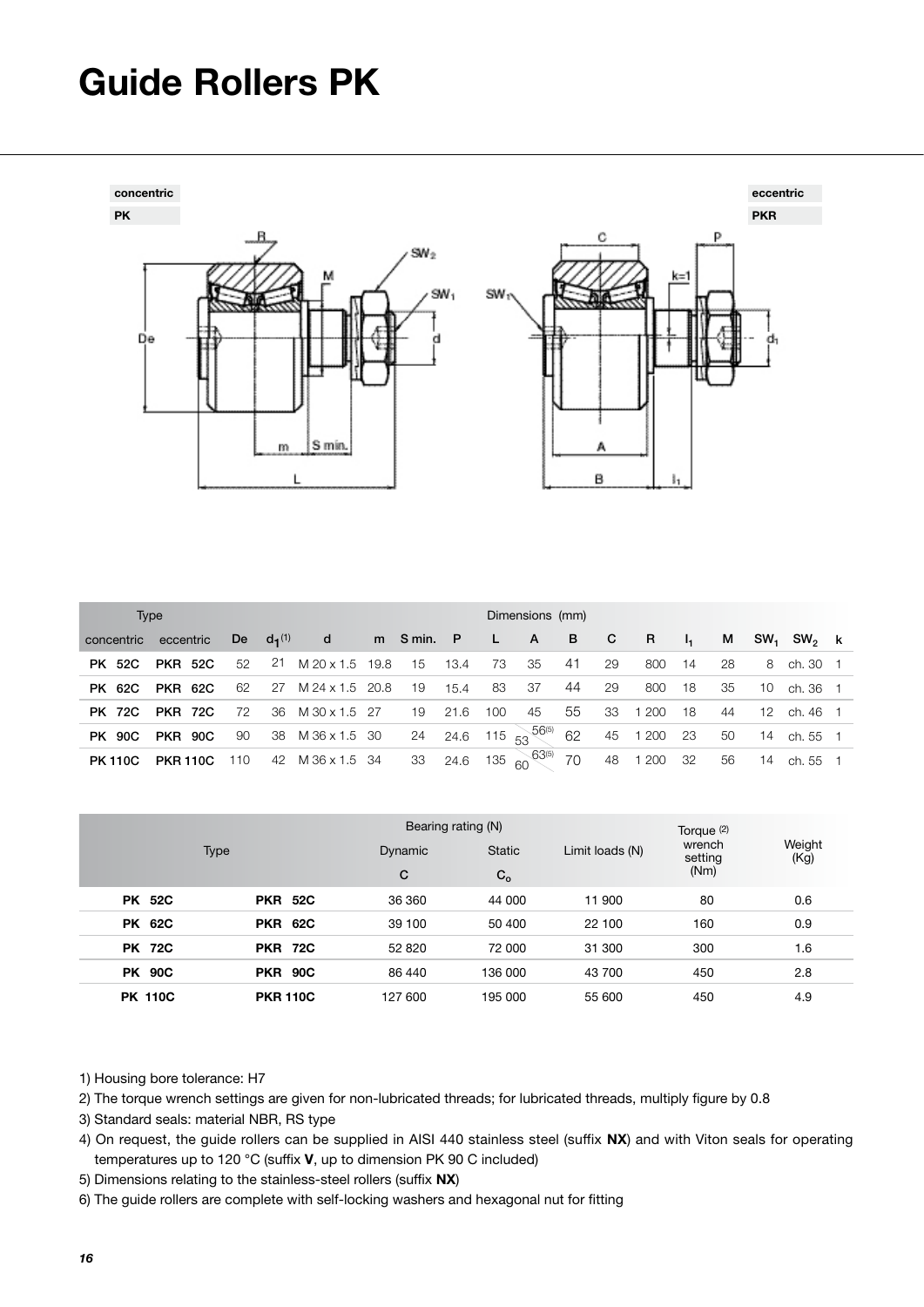### **Guide Rollers PK**



|                | <b>Type</b>           |     |                           |             |      |     | Dimensions (mm)           |     |    |          |                |    |    |                                       |  |
|----------------|-----------------------|-----|---------------------------|-------------|------|-----|---------------------------|-----|----|----------|----------------|----|----|---------------------------------------|--|
| concentric     | eccentric             |     | De $d_1$ <sup>(1)</sup> d | m Smin. P L |      |     | A B                       |     | C. | R        | $\mathbf{I}_1$ |    |    | $M$ SW <sub>1</sub> SW <sub>2</sub> k |  |
|                | <b>PK 52C PKR 52C</b> | 52  | 21 M 20 x 1.5 19.8        | 15          | 13.4 | 73  | 35                        | -41 | 29 | 800      | 14             | 28 |    | 8 ch. 30                              |  |
|                | <b>PK 62C PKR 62C</b> | 62  | 27 M 24 x 1.5 20.8        | 19 15.4     |      | 83  | 37                        | 44  | 29 | 800      | 18             | 35 | 10 | ch. 36                                |  |
|                | <b>PK 72C PKR 72C</b> | 72  | 36 M 30 x 1.5 27          | - 19        | 21.6 | 100 | 45                        | 55  | 33 | 1 200    | 18             | 44 |    | 12 ch. 46 1                           |  |
| <b>PK 90C</b>  | <b>PKR 90C</b>        | 90  | 38 M 36 x 1.5 30          | 24          |      |     | 24.6 115 $53^{56(5)}$     | 62  |    | 45 1 200 | 23             | 50 |    | 14 ch. 55 1                           |  |
| <b>PK 110C</b> | <b>PKR 110C</b>       | 110 | 42 M 36 x 1.5 34          | 33          |      |     | 24.6 135 60 $63^{(5)}$ 70 |     | 48 | 1 200    | -32            | 56 |    | 14 ch. 55 1                           |  |

|                |                 | Bearing rating (N) |                          |                 | Torque <sup>(2)</sup>     |                |
|----------------|-----------------|--------------------|--------------------------|-----------------|---------------------------|----------------|
|                | <b>Type</b>     | Dynamic<br>C       | <b>Static</b><br>$C_{o}$ | Limit loads (N) | wrench<br>setting<br>(Nm) | Weight<br>(Kg) |
| <b>PK 52C</b>  | <b>PKR 52C</b>  | 36 360             | 44 000                   | 11 900          | 80                        | 0.6            |
| <b>PK 62C</b>  | <b>PKR 62C</b>  | 39 100             | 50 400                   | 22 100          | 160                       | 0.9            |
| <b>PK 72C</b>  | <b>PKR 72C</b>  | 52 820             | 72 000                   | 31 300          | 300                       | 1.6            |
| <b>PK 90C</b>  | <b>PKR 90C</b>  | 86 440             | 136 000                  | 43 700          | 450                       | 2.8            |
| <b>PK 110C</b> | <b>PKR 110C</b> | 127 600            | 195 000                  | 55 600          | 450                       | 4.9            |

1) Housing bore tolerance: H7

2) The torque wrench settings are given for non-lubricated threads; for lubricated threads, multiply figure by 0.8

3) Standard seals: material NBR, RS type

- 4) On request, the guide rollers can be supplied in AISI 440 stainless steel (suffix **NX**) and with Viton seals for operating temperatures up to 120 °C (suffix **V**, up to dimension PK 90 C included)
- 5) Dimensions relating to the stainless-steel rollers (suffix **NX**)
- 6) The guide rollers are complete with self-locking washers and hexagonal nut for fitting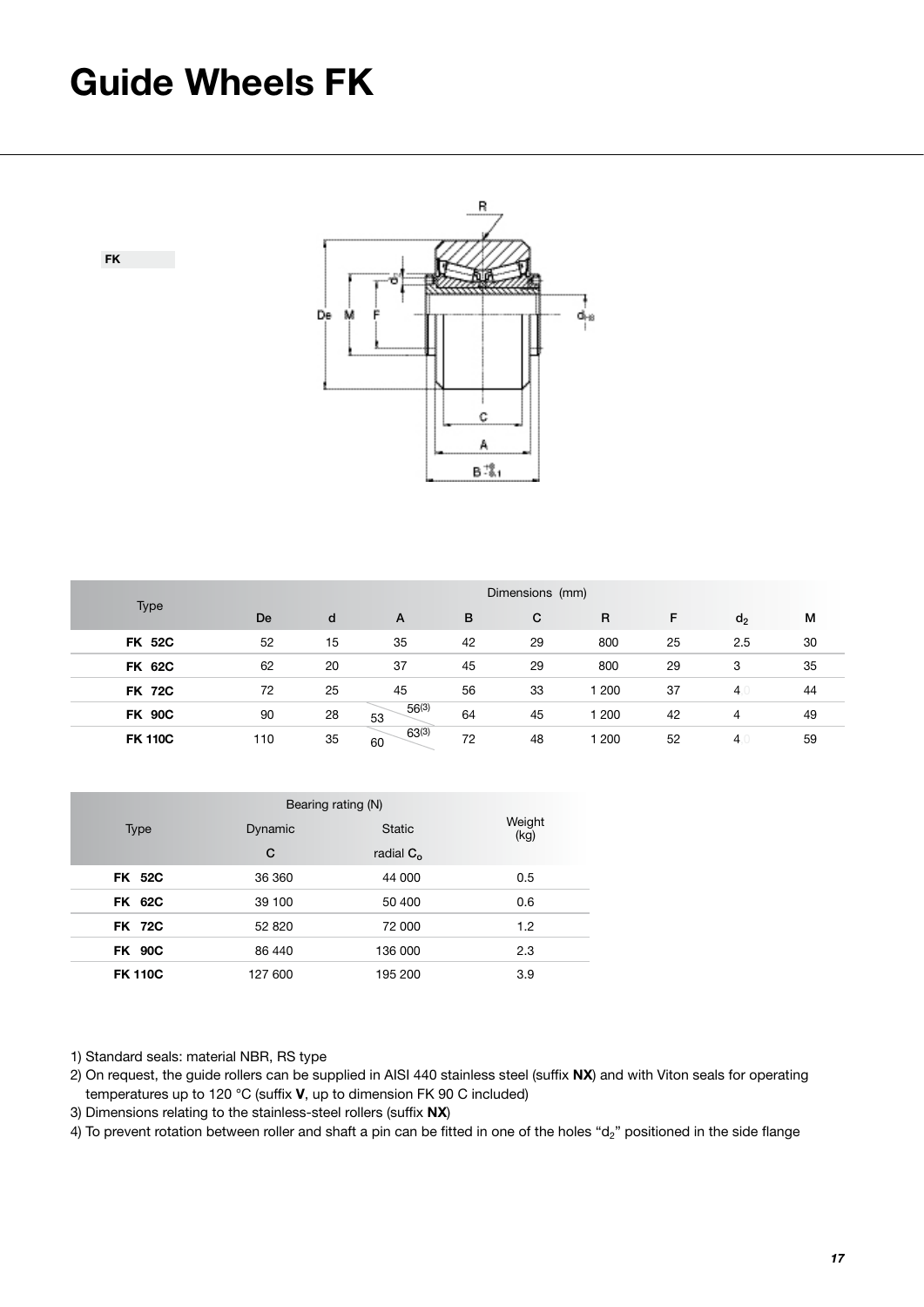### **Guide Wheels FK**





|                |     |    |                  |    | Dimensions (mm) |              |    |                |    |
|----------------|-----|----|------------------|----|-----------------|--------------|----|----------------|----|
| <b>Type</b>    | De  | d  | $\overline{A}$   | B  | C               | $\mathsf{R}$ | F  | d <sub>2</sub> | M  |
| <b>FK 52C</b>  | 52  | 15 | 35               | 42 | 29              | 800          | 25 | 2.5            | 30 |
| <b>FK 62C</b>  | 62  | 20 | 37               | 45 | 29              | 800          | 29 | 3              | 35 |
| <b>FK 72C</b>  | 72  | 25 | 45               | 56 | 33              | 200          | 37 | $\overline{4}$ | 44 |
| <b>FK 90C</b>  | 90  | 28 | $56^{(3)}$<br>53 | 64 | 45              | 200          | 42 | 4              | 49 |
| <b>FK 110C</b> | 110 | 35 | 63(3)<br>60      | 72 | 48              | 200          | 52 | $\overline{4}$ | 59 |

|                | Bearing rating (N) |                     |                |
|----------------|--------------------|---------------------|----------------|
| <b>Type</b>    | Dynamic            | <b>Static</b>       | Weight<br>(kg) |
|                | C                  | radial $C_{\alpha}$ |                |
| <b>FK 52C</b>  | 36 360             | 44 000              | 0.5            |
| <b>FK 62C</b>  | 39 100             | 50 400              | 0.6            |
| <b>FK 72C</b>  | 52 820             | 72 000              | 1.2            |
| <b>FK 90C</b>  | 86 440             | 136 000             | 2.3            |
| <b>FK 110C</b> | 127 600            | 195 200             | 3.9            |

1) Standard seals: material NBR, RS type

2) On request, the guide rollers can be supplied in AISI 440 stainless steel (suffix **NX**) and with Viton seals for operating temperatures up to 120 °C (suffix **V**, up to dimension FK 90 C included)

3) Dimensions relating to the stainless-steel rollers (suffix **NX**)

4) To prevent rotation between roller and shaft a pin can be fitted in one of the holes "d<sub>2</sub>" positioned in the side flange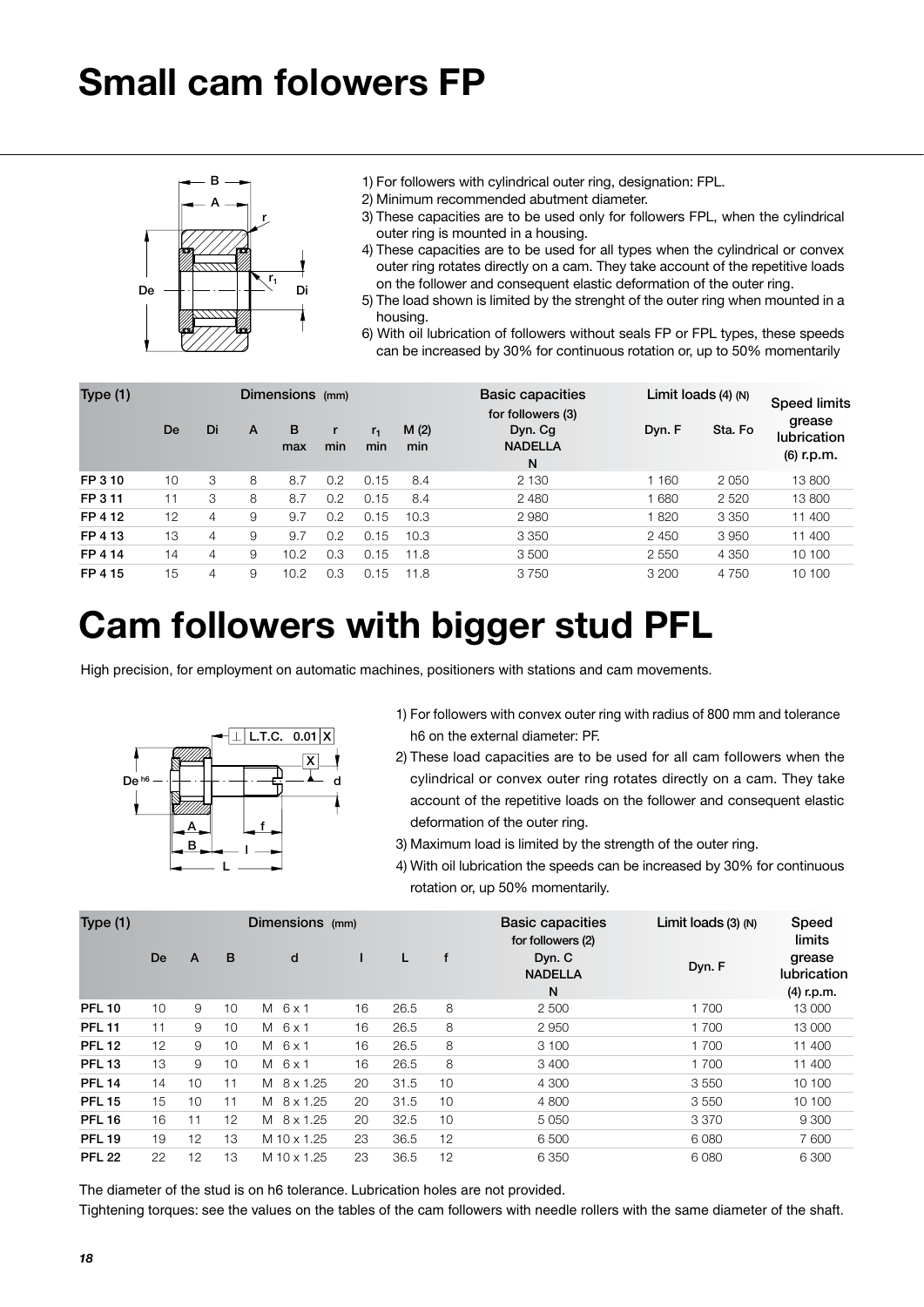## **Small cam folowers FP**



- 1) For followers with cylindrical outer ring, designation: FPL.
- 2) Minimum recommended abutment diameter.
- 3) These capacities are to be used only for followers FPL, when the cylindrical outer ring is mounted in a housing.
- 4) These capacities are to be used for all types when the cylindrical or convex outer ring rotates directly on a cam. They take account of the repetitive loads on the follower and consequent elastic deformation of the outer ring.
- 5) The load shown is limited by the strenght of the outer ring when mounted in a housing.
- 6) With oil lubrication of followers without seals FP or FPL types, these speeds can be increased by 30% for continuous rotation or, up to 50% momentarily

| Type (1) |    |    |   | Dimensions (mm) |     |                       |             | <b>Basic capacities</b>                             | Limit loads $(4)$ $(N)$ | <b>Speed limits</b> |                                            |
|----------|----|----|---|-----------------|-----|-----------------------|-------------|-----------------------------------------------------|-------------------------|---------------------|--------------------------------------------|
|          | De | Di | A | B<br>max        | min | r <sub>1</sub><br>min | M(2)<br>min | for followers (3)<br>Dyn. Cg<br><b>NADELLA</b><br>N | Dyn. F                  | Sta. Fo             | grease<br><b>lubrication</b><br>(6) r.p.m. |
| FP 310   | 10 | 3  | 8 | 8.7             | 0.2 | 0.15                  | 8.4         | 2 1 3 0                                             | 1 160                   | 2 0 5 0             | 13800                                      |
| FP 311   | 11 | 3  | 8 | 8.7             | 0.2 | 0.15                  | 8.4         | 2480                                                | 1680                    | 2 5 2 0             | 13800                                      |
| FP 4 12  | 12 | 4  | 9 | 9.7             | 0.2 | 0.15                  | 10.3        | 2980                                                | 1820                    | 3 3 5 0             | 11 400                                     |
| FP 4 13  | 13 | 4  | 9 | 9.7             | 0.2 | 0.15                  | 10.3        | 3 3 5 0                                             | 2 4 5 0                 | 3950                | 11 400                                     |
| FP 4 14  | 14 | 4  | 9 | 10.2            | 0.3 | 0.15                  | 11.8        | 3500                                                | 2 5 5 0                 | 4 3 5 0             | 10 100                                     |
| FP 4 15  | 15 | 4  | 9 | 10.2            | 0.3 | 0.15                  | 11.8        | 3750                                                | 3 200                   | 4 7 5 0             | 10 100                                     |

### **Cam followers with bigger stud PFL**

High precision, for employment on automatic machines, positioners with stations and cam movements.



- 1) For followers with convex outer ring with radius of 800 mm and tolerance h6 on the external diameter: PF.
- 2) These load capacities are to be used for all cam followers when the cylindrical or convex outer ring rotates directly on a cam. They take account of the repetitive loads on the follower and consequent elastic deformation of the outer ring.
- 3) Maximum load is limited by the strength of the outer ring.
- 4) With oil lubrication the speeds can be increased by 30% for continuous rotation or, up 50% momentarily.

| Type $(1)$    |    |    |    | Dimensions (mm) |    |      |    | <b>Basic capacities</b><br>for followers (2) | $Limit$ loads $(3)$ $(N)$ | Speed<br>limits                              |  |
|---------------|----|----|----|-----------------|----|------|----|----------------------------------------------|---------------------------|----------------------------------------------|--|
|               | De | A  | B  | d               | н  |      | f  | Dyn. C<br><b>NADELLA</b><br>N                | Dyn. F                    | grease<br><b>lubrication</b><br>$(4)$ r.p.m. |  |
| <b>PFL10</b>  | 10 | 9  | 10 | 6x1<br>M        | 16 | 26.5 | 8  | 2 500                                        | 1700                      | 13 000                                       |  |
| <b>PFL11</b>  | 11 | 9  | 10 | 6x1<br>M        | 16 | 26.5 | 8  | 2950                                         | 1700                      | 13 000                                       |  |
| <b>PFL 12</b> | 12 | 9  | 10 | 6x1<br>M        | 16 | 26.5 | 8  | 3 100                                        | 1700                      | 11 400                                       |  |
| <b>PFL 13</b> | 13 | 9  | 10 | M<br>6x1        | 16 | 26.5 | 8  | 3 4 0 0                                      | 1700                      | 11 400                                       |  |
| <b>PFL 14</b> | 14 | 10 | 11 | 8 x 1.25<br>M   | 20 | 31.5 | 10 | 4 300                                        | 3550                      | 10 100                                       |  |
| <b>PFL 15</b> | 15 | 10 | 11 | 8 x 1.25<br>M   | 20 | 31.5 | 10 | 4 800                                        | 3550                      | 10 100                                       |  |
| <b>PFL 16</b> | 16 | 11 | 12 | 8 x 1.25<br>M   | 20 | 32.5 | 10 | 5 0 5 0                                      | 3 3 7 0                   | 9 3 0 0                                      |  |
| <b>PFL 19</b> | 19 | 12 | 13 | M 10 x 1.25     | 23 | 36.5 | 12 | 6 500                                        | 6 0 8 0                   | 7600                                         |  |
| <b>PFL 22</b> | 22 | 12 | 13 | M 10 x 1.25     | 23 | 36.5 | 12 | 6 3 5 0                                      | 6080                      | 6 300                                        |  |

The diameter of the stud is on h6 tolerance. Lubrication holes are not provided.

Tightening torques: see the values on the tables of the cam followers with needle rollers with the same diameter of the shaft.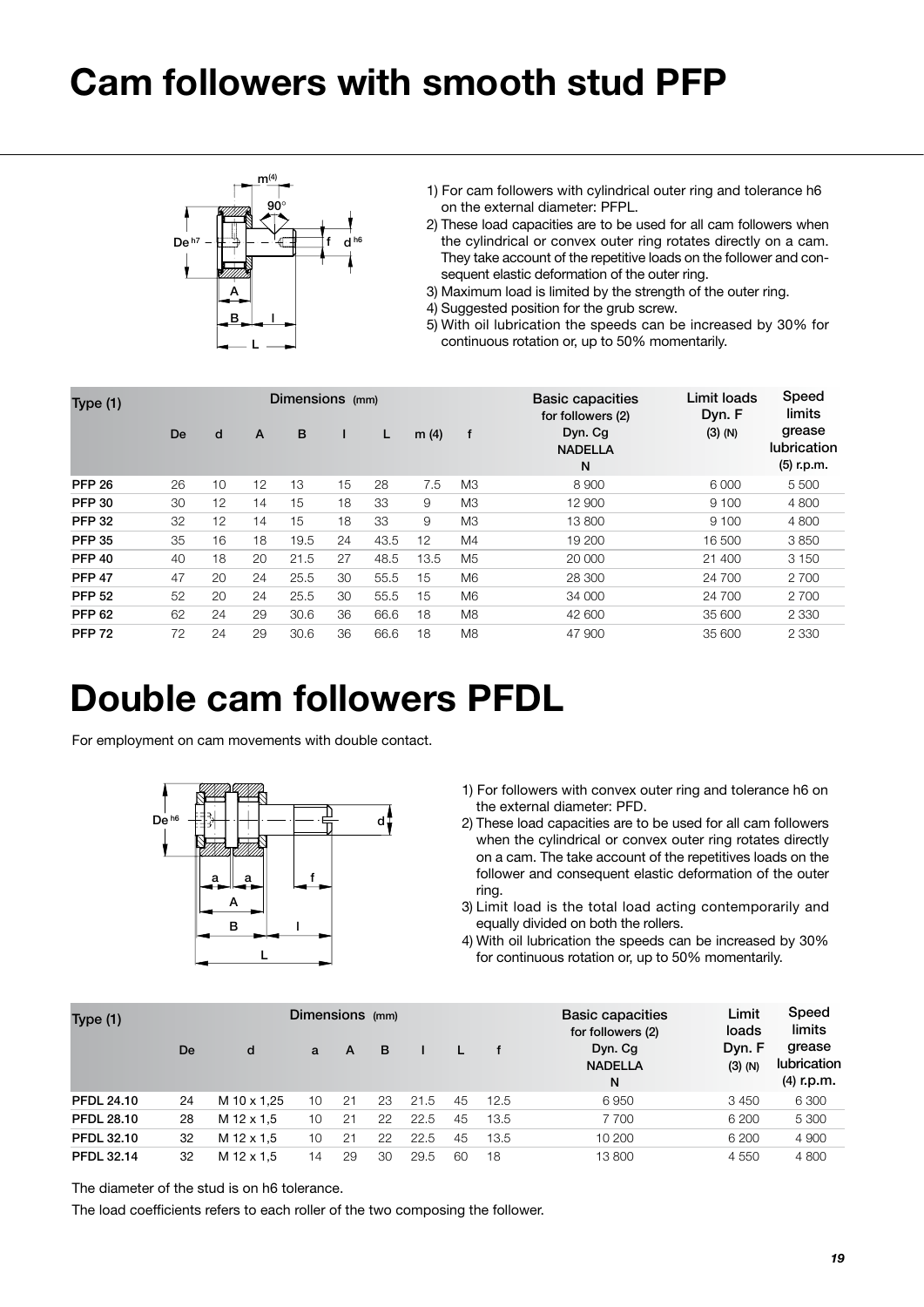# **Cam followers with smooth stud PFP**



- 1) For cam followers with cylindrical outer ring and tolerance h6 on the external diameter: PFPL.
- 2) These load capacities are to be used for all cam followers when the cylindrical or convex outer ring rotates directly on a cam. They take account of the repetitive loads on the follower and consequent elastic deformation of the outer ring.
- 3) Maximum load is limited by the strength of the outer ring.
- 4) Suggested position for the grub screw.
- 5) With oil lubrication the speeds can be increased by 30% for continuous rotation or, up to 50% momentarily.

| Type (1)      |    |    |    | Dimensions (mm) |    |      |         |                | <b>Basic capacities</b><br>for followers (2) | Limit loads<br>Dyn. F | Speed<br>limits                              |
|---------------|----|----|----|-----------------|----|------|---------|----------------|----------------------------------------------|-----------------------|----------------------------------------------|
|               | De | d  | A  | B               |    | L    | m $(4)$ | $\mathbf f$    | Dyn. Cg<br><b>NADELLA</b><br>N               | $(3)$ (N)             | grease<br><b>lubrication</b><br>$(5)$ r.p.m. |
| <b>PFP 26</b> | 26 | 10 | 12 | 13              | 15 | 28   | 7.5     | M <sub>3</sub> | 8900                                         | 6 0 0 0               | 5 500                                        |
| <b>PFP 30</b> | 30 | 12 | 14 | 15              | 18 | 33   | 9       | M <sub>3</sub> | 12 900                                       | 9 100                 | 4 800                                        |
| <b>PFP 32</b> | 32 | 12 | 14 | 15              | 18 | 33   | 9       | M <sub>3</sub> | 13800                                        | 9 100                 | 4 800                                        |
| <b>PFP 35</b> | 35 | 16 | 18 | 19.5            | 24 | 43.5 | 12      | M4             | 19 200                                       | 16 500                | 3850                                         |
| <b>PFP 40</b> | 40 | 18 | 20 | 21.5            | 27 | 48.5 | 13.5    | M <sub>5</sub> | 20 000                                       | 21 400                | 3 1 5 0                                      |
| <b>PFP 47</b> | 47 | 20 | 24 | 25.5            | 30 | 55.5 | 15      | M <sub>6</sub> | 28 300                                       | 24 700                | 2 700                                        |
| <b>PFP 52</b> | 52 | 20 | 24 | 25.5            | 30 | 55.5 | 15      | M <sub>6</sub> | 34 000                                       | 24 700                | 2 700                                        |
| <b>PFP 62</b> | 62 | 24 | 29 | 30.6            | 36 | 66.6 | 18      | M <sub>8</sub> | 42 600                                       | 35 600                | 2 3 3 0                                      |
| <b>PFP 72</b> | 72 | 24 | 29 | 30.6            | 36 | 66.6 | 18      | M <sub>8</sub> | 47 900                                       | 35 600                | 2 3 3 0                                      |

### **Double cam followers PFDL**

For employment on cam movements with double contact.



- 1) For followers with convex outer ring and tolerance h6 on the external diameter: PFD.
- 2) These load capacities are to be used for all cam followers when the cylindrical or convex outer ring rotates directly on a cam. The take account of the repetitives loads on the follower and consequent elastic deformation of the outer ring.
- 3) Limit load is the total load acting contemporarily and equally divided on both the rollers.
- 4) With oil lubrication the speeds can be increased by 30% for continuous rotation or, up to 50% momentarily.

| Type $(1)$        |    |             | Dimensions (mm) |    |    |      |    |      | <b>Basic capacities</b><br>for followers (2) | Limit<br>loads      | Speed<br>limits       |
|-------------------|----|-------------|-----------------|----|----|------|----|------|----------------------------------------------|---------------------|-----------------------|
|                   | De | d           | a               | А  | в  |      |    |      | Dyn. Cg<br><b>NADELLA</b>                    | Dyn. F<br>$(3)$ (N) | grease<br>lubrication |
|                   |    |             |                 |    |    |      |    |      | N                                            |                     | (4) r.p.m.            |
| <b>PFDL 24.10</b> | 24 | M 10 x 1,25 | 10              | 21 | 23 | 21.5 | 45 | 12.5 | 6950                                         | 3 4 5 0             | 6 300                 |
| <b>PFDL 28.10</b> | 28 | M 12 x 1,5  | 10              | 21 | 22 | 22.5 | 45 | 13.5 | 7 700                                        | 6 200               | 5 300                 |
| <b>PFDL 32.10</b> | 32 | M 12 x 1.5  | 10              | 21 | 22 | 22.5 | 45 | 13.5 | 10 200                                       | 6 200               | 4 9 0 0               |
| <b>PFDL 32.14</b> | 32 | M 12 x 1.5  | 14              | 29 | 30 | 29.5 | 60 | 18   | 13 800                                       | 4 5 5 0             | 4 800                 |

The diameter of the stud is on h6 tolerance.

The load coefficients refers to each roller of the two composing the follower.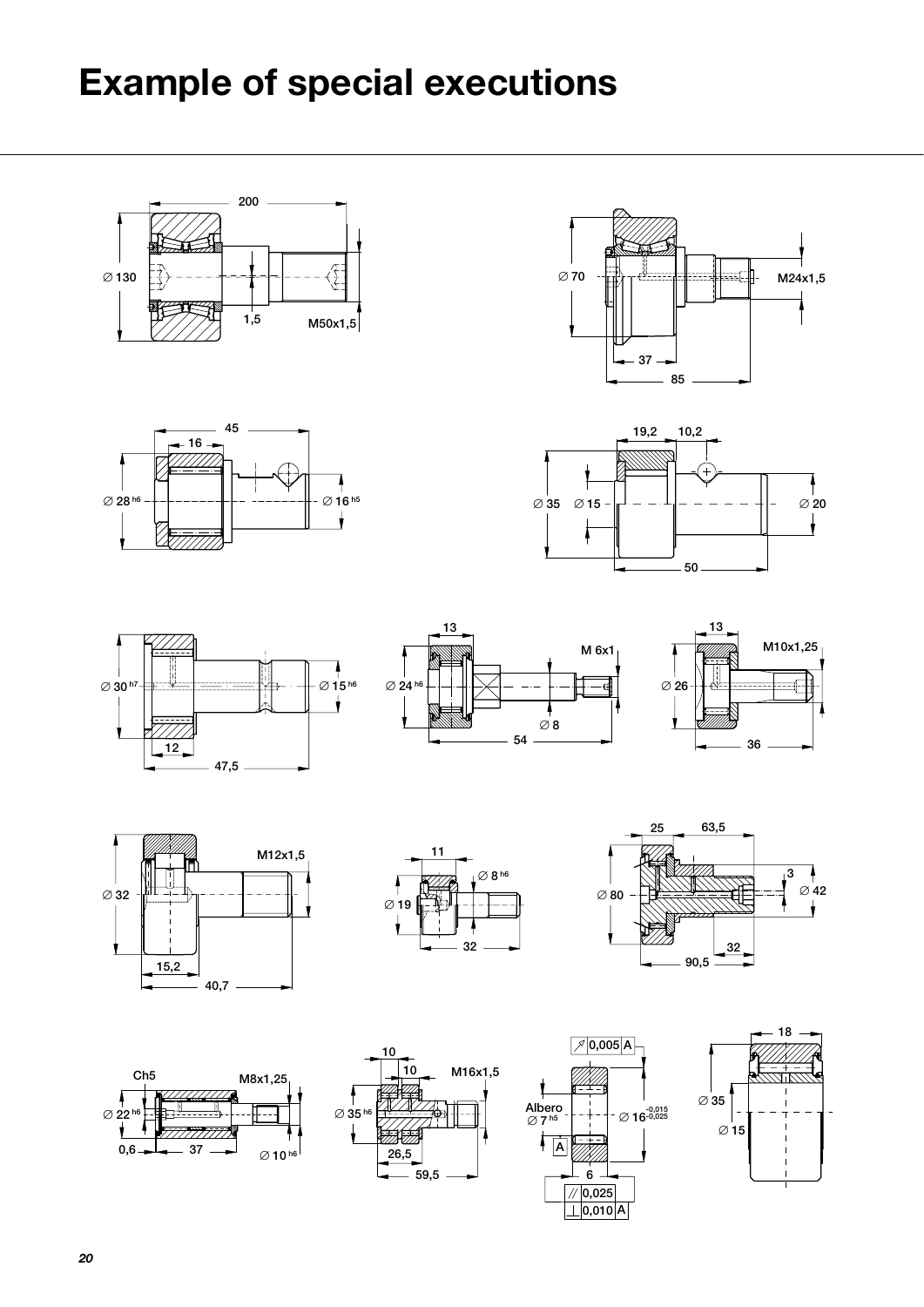### **Example of special executions**